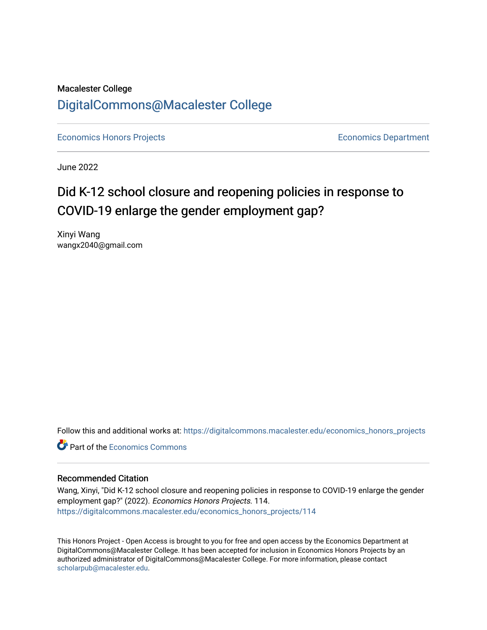## Macalester College [DigitalCommons@Macalester College](https://digitalcommons.macalester.edu/)

[Economics Honors Projects](https://digitalcommons.macalester.edu/economics_honors_projects) **Economics** Department

June 2022

# Did K-12 school closure and reopening policies in response to COVID-19 enlarge the gender employment gap?

Xinyi Wang wangx2040@gmail.com

Follow this and additional works at: [https://digitalcommons.macalester.edu/economics\\_honors\\_projects](https://digitalcommons.macalester.edu/economics_honors_projects?utm_source=digitalcommons.macalester.edu%2Feconomics_honors_projects%2F114&utm_medium=PDF&utm_campaign=PDFCoverPages)

**C** Part of the [Economics Commons](https://network.bepress.com/hgg/discipline/340?utm_source=digitalcommons.macalester.edu%2Feconomics_honors_projects%2F114&utm_medium=PDF&utm_campaign=PDFCoverPages)

#### Recommended Citation

Wang, Xinyi, "Did K-12 school closure and reopening policies in response to COVID-19 enlarge the gender employment gap?" (2022). Economics Honors Projects. 114. [https://digitalcommons.macalester.edu/economics\\_honors\\_projects/114](https://digitalcommons.macalester.edu/economics_honors_projects/114?utm_source=digitalcommons.macalester.edu%2Feconomics_honors_projects%2F114&utm_medium=PDF&utm_campaign=PDFCoverPages)

This Honors Project - Open Access is brought to you for free and open access by the Economics Department at DigitalCommons@Macalester College. It has been accepted for inclusion in Economics Honors Projects by an authorized administrator of DigitalCommons@Macalester College. For more information, please contact [scholarpub@macalester.edu](mailto:scholarpub@macalester.edu).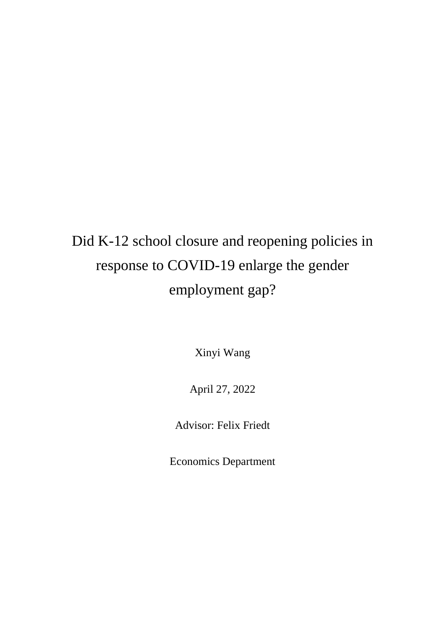# Did K-12 school closure and reopening policies in response to COVID-19 enlarge the gender employment gap?

Xinyi Wang

April 27, 2022

Advisor: Felix Friedt

Economics Department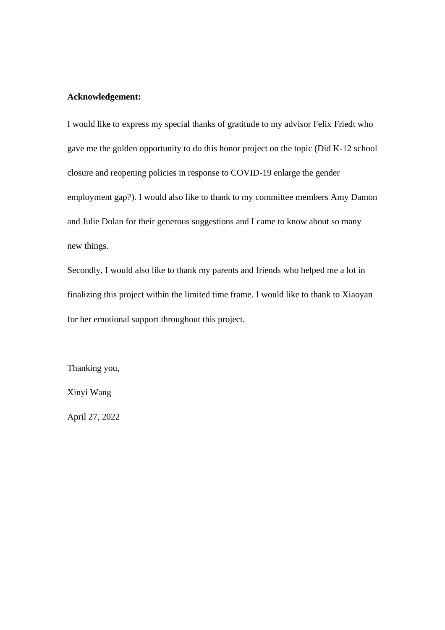#### **Acknowledgement:**

I would like to express my special thanks of gratitude to my advisor Felix Friedt who gave me the golden opportunity to do this honor project on the topic (Did K-12 school closure and reopening policies in response to COVID-19 enlarge the gender employment gap?). I would also like to thank to my committee members Amy Damon and Julie Dolan for their generous suggestions and I came to know about so many new things.

Secondly, I would also like to thank my parents and friends who helped me a lot in finalizing this project within the limited time frame. I would like to thank to Xiaoyan for her emotional support throughout this project.

Thanking you,

Xinyi Wang

April 27, 2022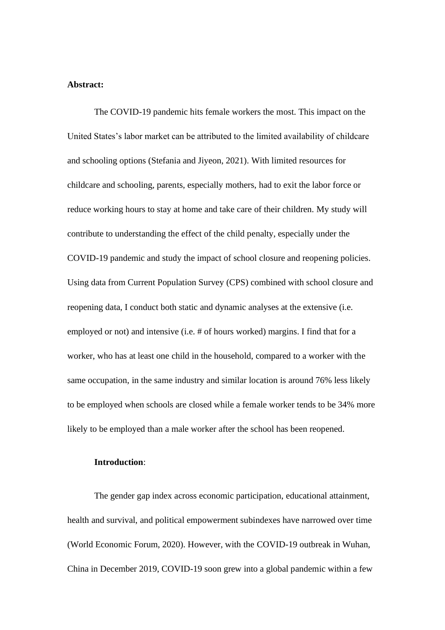#### **Abstract:**

The COVID-19 pandemic hits female workers the most. This impact on the United States's labor market can be attributed to the limited availability of childcare and schooling options (Stefania and Jiyeon, 2021). With limited resources for childcare and schooling, parents, especially mothers, had to exit the labor force or reduce working hours to stay at home and take care of their children. My study will contribute to understanding the effect of the child penalty, especially under the COVID-19 pandemic and study the impact of school closure and reopening policies. Using data from Current Population Survey (CPS) combined with school closure and reopening data, I conduct both static and dynamic analyses at the extensive (i.e. employed or not) and intensive (i.e. # of hours worked) margins. I find that for a worker, who has at least one child in the household, compared to a worker with the same occupation, in the same industry and similar location is around 76% less likely to be employed when schools are closed while a female worker tends to be 34% more likely to be employed than a male worker after the school has been reopened.

#### **Introduction**:

The gender gap index across economic participation, educational attainment, health and survival, and political empowerment subindexes have narrowed over time (World Economic Forum, 2020). However, with the COVID-19 outbreak in Wuhan, China in December 2019, COVID-19 soon grew into a global pandemic within a few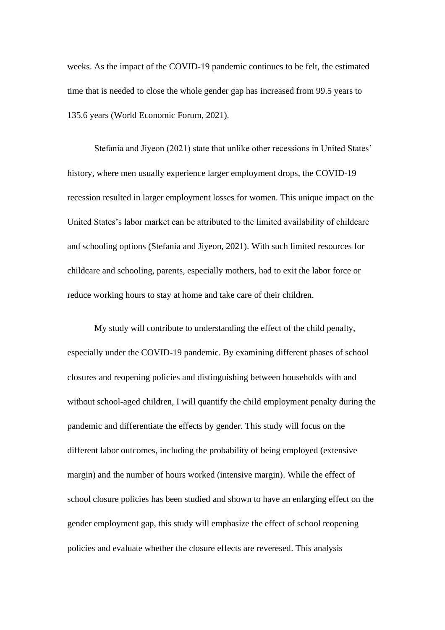weeks. As the impact of the COVID-19 pandemic continues to be felt, the estimated time that is needed to close the whole gender gap has increased from 99.5 years to 135.6 years (World Economic Forum, 2021).

Stefania and Jiyeon (2021) state that unlike other recessions in United States' history, where men usually experience larger employment drops, the COVID-19 recession resulted in larger employment losses for women. This unique impact on the United States's labor market can be attributed to the limited availability of childcare and schooling options (Stefania and Jiyeon, 2021). With such limited resources for childcare and schooling, parents, especially mothers, had to exit the labor force or reduce working hours to stay at home and take care of their children.

My study will contribute to understanding the effect of the child penalty, especially under the COVID-19 pandemic. By examining different phases of school closures and reopening policies and distinguishing between households with and without school-aged children, I will quantify the child employment penalty during the pandemic and differentiate the effects by gender. This study will focus on the different labor outcomes, including the probability of being employed (extensive margin) and the number of hours worked (intensive margin). While the effect of school closure policies has been studied and shown to have an enlarging effect on the gender employment gap, this study will emphasize the effect of school reopening policies and evaluate whether the closure effects are reveresed. This analysis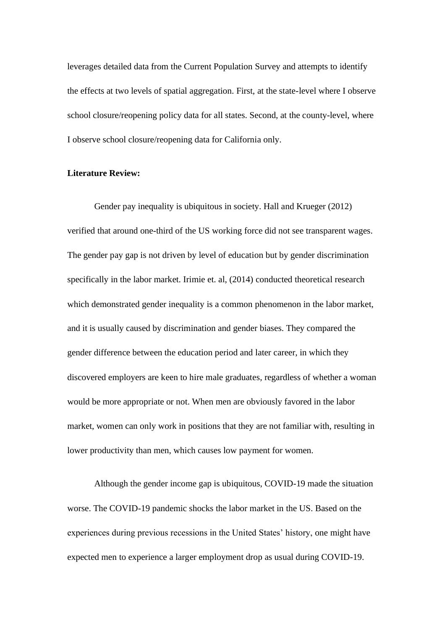leverages detailed data from the Current Population Survey and attempts to identify the effects at two levels of spatial aggregation. First, at the state-level where I observe school closure/reopening policy data for all states. Second, at the county-level, where I observe school closure/reopening data for California only.

#### **Literature Review:**

Gender pay inequality is ubiquitous in society. Hall and Krueger (2012) verified that around one-third of the US working force did not see transparent wages. The gender pay gap is not driven by level of education but by gender discrimination specifically in the labor market. Irimie et. al, (2014) conducted theoretical research which demonstrated gender inequality is a common phenomenon in the labor market, and it is usually caused by discrimination and gender biases. They compared the gender difference between the education period and later career, in which they discovered employers are keen to hire male graduates, regardless of whether a woman would be more appropriate or not. When men are obviously favored in the labor market, women can only work in positions that they are not familiar with, resulting in lower productivity than men, which causes low payment for women.

Although the gender income gap is ubiquitous, COVID-19 made the situation worse. The COVID-19 pandemic shocks the labor market in the US. Based on the experiences during previous recessions in the United States' history, one might have expected men to experience a larger employment drop as usual during COVID-19.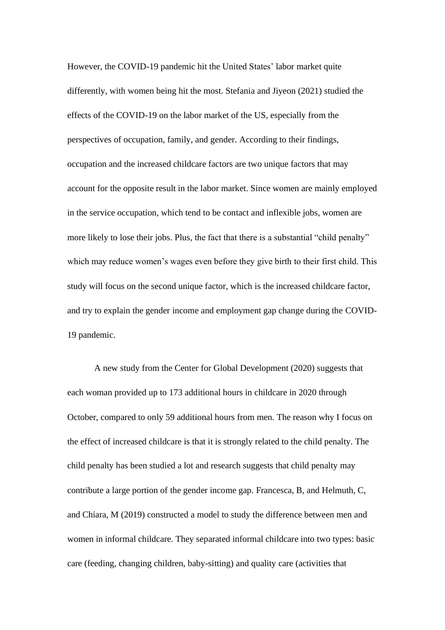However, the COVID-19 pandemic hit the United States' labor market quite differently, with women being hit the most. Stefania and Jiyeon (2021) studied the effects of the COVID-19 on the labor market of the US, especially from the perspectives of occupation, family, and gender. According to their findings, occupation and the increased childcare factors are two unique factors that may account for the opposite result in the labor market. Since women are mainly employed in the service occupation, which tend to be contact and inflexible jobs, women are more likely to lose their jobs. Plus, the fact that there is a substantial "child penalty" which may reduce women's wages even before they give birth to their first child. This study will focus on the second unique factor, which is the increased childcare factor, and try to explain the gender income and employment gap change during the COVID-19 pandemic.

A new study from the Center for Global Development (2020) suggests that each woman provided up to 173 additional hours in childcare in 2020 through October, compared to only 59 additional hours from men. The reason why I focus on the effect of increased childcare is that it is strongly related to the child penalty. The child penalty has been studied a lot and research suggests that child penalty may contribute a large portion of the gender income gap. Francesca, B, and Helmuth, C, and Chiara, M (2019) constructed a model to study the difference between men and women in informal childcare. They separated informal childcare into two types: basic care (feeding, changing children, baby-sitting) and quality care (activities that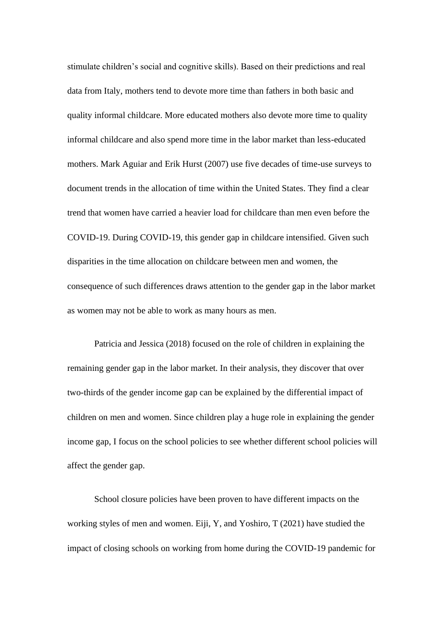stimulate children's social and cognitive skills). Based on their predictions and real data from Italy, mothers tend to devote more time than fathers in both basic and quality informal childcare. More educated mothers also devote more time to quality informal childcare and also spend more time in the labor market than less-educated mothers. Mark Aguiar and Erik Hurst (2007) use five decades of time-use surveys to document trends in the allocation of time within the United States. They find a clear trend that women have carried a heavier load for childcare than men even before the COVID-19. During COVID-19, this gender gap in childcare intensified. Given such disparities in the time allocation on childcare between men and women, the consequence of such differences draws attention to the gender gap in the labor market as women may not be able to work as many hours as men.

Patricia and Jessica (2018) focused on the role of children in explaining the remaining gender gap in the labor market. In their analysis, they discover that over two-thirds of the gender income gap can be explained by the differential impact of children on men and women. Since children play a huge role in explaining the gender income gap, I focus on the school policies to see whether different school policies will affect the gender gap.

School closure policies have been proven to have different impacts on the working styles of men and women. Eiji, Y, and Yoshiro, T (2021) have studied the impact of closing schools on working from home during the COVID-19 pandemic for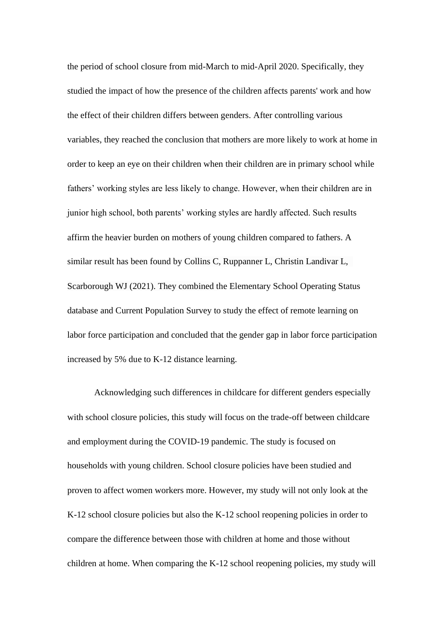the period of school closure from mid-March to mid-April 2020. Specifically, they studied the impact of how the presence of the children affects parents' work and how the effect of their children differs between genders. After controlling various variables, they reached the conclusion that mothers are more likely to work at home in order to keep an eye on their children when their children are in primary school while fathers' working styles are less likely to change. However, when their children are in junior high school, both parents' working styles are hardly affected. Such results affirm the heavier burden on mothers of young children compared to fathers. A similar result has been found by Collins C, Ruppanner L, Christin Landivar L, Scarborough WJ (2021). They combined the Elementary School Operating Status database and Current Population Survey to study the effect of remote learning on labor force participation and concluded that the gender gap in labor force participation increased by 5% due to K-12 distance learning.

Acknowledging such differences in childcare for different genders especially with school closure policies, this study will focus on the trade-off between childcare and employment during the COVID-19 pandemic. The study is focused on households with young children. School closure policies have been studied and proven to affect women workers more. However, my study will not only look at the K-12 school closure policies but also the K-12 school reopening policies in order to compare the difference between those with children at home and those without children at home. When comparing the K-12 school reopening policies, my study will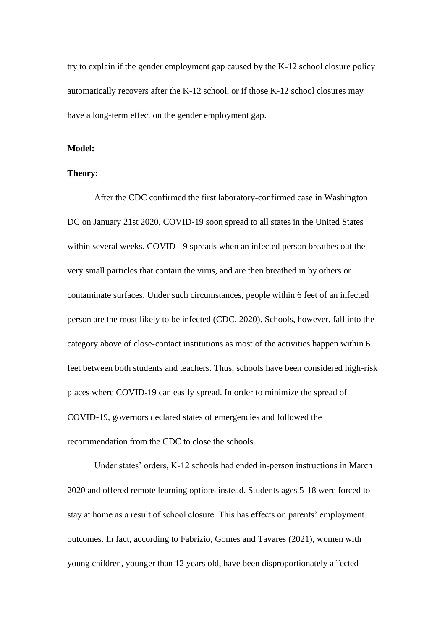try to explain if the gender employment gap caused by the K-12 school closure policy automatically recovers after the K-12 school, or if those K-12 school closures may have a long-term effect on the gender employment gap.

#### **Model:**

#### **Theory:**

After the CDC confirmed the first laboratory-confirmed case in Washington DC on January 21st 2020, COVID-19 soon spread to all states in the United States within several weeks. COVID-19 spreads when an infected person breathes out the very small particles that contain the virus, and are then breathed in by others or contaminate surfaces. Under such circumstances, people within 6 feet of an infected person are the most likely to be infected (CDC, 2020). Schools, however, fall into the category above of close-contact institutions as most of the activities happen within 6 feet between both students and teachers. Thus, schools have been considered high-risk places where COVID-19 can easily spread. In order to minimize the spread of COVID-19, governors declared states of emergencies and followed the recommendation from the CDC to close the schools.

Under states' orders, K-12 schools had ended in-person instructions in March 2020 and offered remote learning options instead. Students ages 5-18 were forced to stay at home as a result of school closure. This has effects on parents' employment outcomes. In fact, according to Fabrizio, Gomes and Tavares (2021), women with young children, younger than 12 years old, have been disproportionately affected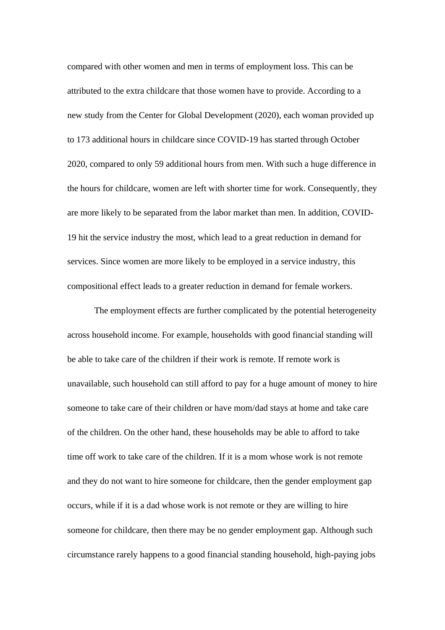compared with other women and men in terms of employment loss. This can be attributed to the extra childcare that those women have to provide. According to a new study from the Center for Global Development (2020), each woman provided up to 173 additional hours in childcare since COVID-19 has started through October 2020, compared to only 59 additional hours from men. With such a huge difference in the hours for childcare, women are left with shorter time for work. Consequently, they are more likely to be separated from the labor market than men. In addition, COVID-19 hit the service industry the most, which lead to a great reduction in demand for services. Since women are more likely to be employed in a service industry, this compositional effect leads to a greater reduction in demand for female workers.

The employment effects are further complicated by the potential heterogeneity across household income. For example, households with good financial standing will be able to take care of the children if their work is remote. If remote work is unavailable, such household can still afford to pay for a huge amount of money to hire someone to take care of their children or have mom/dad stays at home and take care of the children. On the other hand, these households may be able to afford to take time off work to take care of the children. If it is a mom whose work is not remote and they do not want to hire someone for childcare, then the gender employment gap occurs, while if it is a dad whose work is not remote or they are willing to hire someone for childcare, then there may be no gender employment gap. Although such circumstance rarely happens to a good financial standing household, high-paying jobs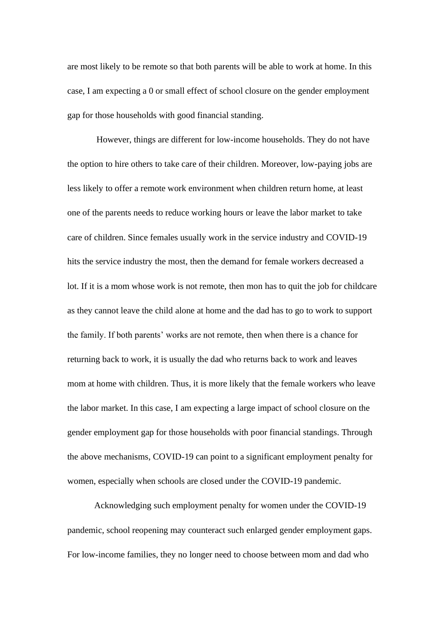are most likely to be remote so that both parents will be able to work at home. In this case, I am expecting a 0 or small effect of school closure on the gender employment gap for those households with good financial standing.

However, things are different for low-income households. They do not have the option to hire others to take care of their children. Moreover, low-paying jobs are less likely to offer a remote work environment when children return home, at least one of the parents needs to reduce working hours or leave the labor market to take care of children. Since females usually work in the service industry and COVID-19 hits the service industry the most, then the demand for female workers decreased a lot. If it is a mom whose work is not remote, then mon has to quit the job for childcare as they cannot leave the child alone at home and the dad has to go to work to support the family. If both parents' works are not remote, then when there is a chance for returning back to work, it is usually the dad who returns back to work and leaves mom at home with children. Thus, it is more likely that the female workers who leave the labor market. In this case, I am expecting a large impact of school closure on the gender employment gap for those households with poor financial standings. Through the above mechanisms, COVID-19 can point to a significant employment penalty for women, especially when schools are closed under the COVID-19 pandemic.

Acknowledging such employment penalty for women under the COVID-19 pandemic, school reopening may counteract such enlarged gender employment gaps. For low-income families, they no longer need to choose between mom and dad who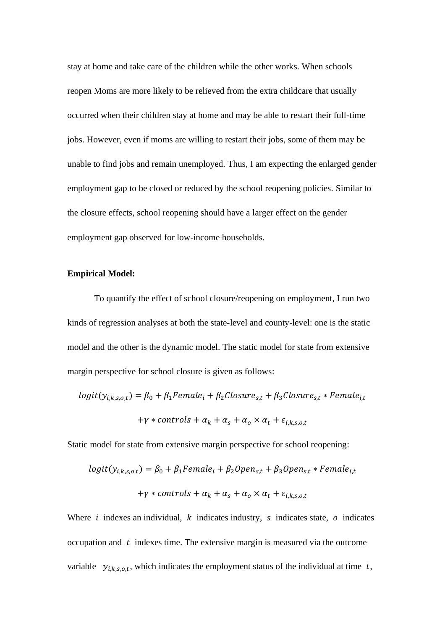stay at home and take care of the children while the other works. When schools reopen Moms are more likely to be relieved from the extra childcare that usually occurred when their children stay at home and may be able to restart their full-time jobs. However, even if moms are willing to restart their jobs, some of them may be unable to find jobs and remain unemployed. Thus, I am expecting the enlarged gender employment gap to be closed or reduced by the school reopening policies. Similar to the closure effects, school reopening should have a larger effect on the gender employment gap observed for low-income households.

#### **Empirical Model:**

To quantify the effect of school closure/reopening on employment, I run two kinds of regression analyses at both the state-level and county-level: one is the static model and the other is the dynamic model. The static model for state from extensive margin perspective for school closure is given as follows:

$$
logit(y_{i,k,s,o,t}) = \beta_0 + \beta_1 Female_i + \beta_2 Closure_{s,t} + \beta_3 Closure_{s,t} * Female_{i,t}
$$

$$
+ \gamma * controls + \alpha_k + \alpha_s + \alpha_o \times \alpha_t + \varepsilon_{i,k,s,o,t}
$$

Static model for state from extensive margin perspective for school reopening:

$$
logit(y_{i,k,s,o,t}) = \beta_0 + \beta_1 Female_i + \beta_2 Open_{s,t} + \beta_3 Open_{s,t} * Female_{i,t}
$$

$$
+ \gamma * controls + \alpha_k + \alpha_s + \alpha_o \times \alpha_t + \varepsilon_{i,k,s,o,t}
$$

Where  $i$  indexes an individual,  $k$  indicates industry,  $s$  indicates state,  $o$  indicates occupation and  $t$  indexes time. The extensive margin is measured via the outcome variable  $y_{i,k,s,o,t}$ , which indicates the employment status of the individual at time t,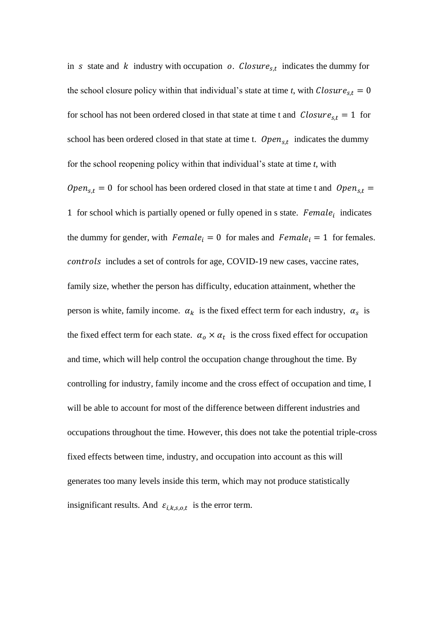in s state and k industry with occupation o. Closure<sub>s,t</sub> indicates the dummy for the school closure policy within that individual's state at time *t*, with  $\text{Closure}_{s,t} = 0$ for school has not been ordered closed in that state at time t and  $\textit{Closure}_{s,t} = 1$  for school has been ordered closed in that state at time t.  $Open_{s,t}$  indicates the dummy for the school reopening policy within that individual's state at time *t*, with  $Open_{s,t} = 0$  for school has been ordered closed in that state at time t and  $Open_{s,t} =$ 1 for school which is partially opened or fully opened in  $s$  state. Female<sub>i</sub> indicates the dummy for gender, with  $Female_i = 0$  for males and  $Female_i = 1$  for females. controls includes a set of controls for age, COVID-19 new cases, vaccine rates, family size, whether the person has difficulty, education attainment, whether the person is white, family income.  $\alpha_k$  is the fixed effect term for each industry,  $\alpha_s$  is the fixed effect term for each state.  $\alpha_o \times \alpha_t$  is the cross fixed effect for occupation and time, which will help control the occupation change throughout the time. By controlling for industry, family income and the cross effect of occupation and time, I will be able to account for most of the difference between different industries and occupations throughout the time. However, this does not take the potential triple-cross fixed effects between time, industry, and occupation into account as this will generates too many levels inside this term, which may not produce statistically insignificant results. And  $\varepsilon_{i,k,s,o,t}$  is the error term.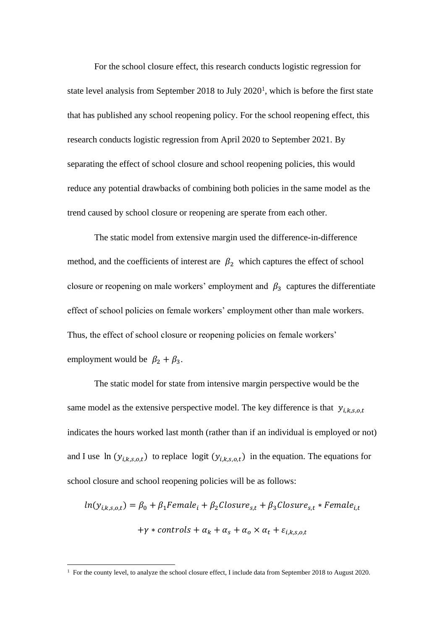For the school closure effect, this research conducts logistic regression for state level analysis from September 2018 to July  $2020<sup>1</sup>$ , which is before the first state that has published any school reopening policy. For the school reopening effect, this research conducts logistic regression from April 2020 to September 2021. By separating the effect of school closure and school reopening policies, this would reduce any potential drawbacks of combining both policies in the same model as the trend caused by school closure or reopening are sperate from each other.

The static model from extensive margin used the difference-in-difference method, and the coefficients of interest are  $\beta_2$  which captures the effect of school closure or reopening on male workers' employment and  $\beta_3$  captures the differentiate effect of school policies on female workers' employment other than male workers. Thus, the effect of school closure or reopening policies on female workers' employment would be  $\beta_2 + \beta_3$ .

The static model for state from intensive margin perspective would be the same model as the extensive perspective model. The key difference is that  $y_{i,k,s.o.t}$ indicates the hours worked last month (rather than if an individual is employed or not) and I use  $\ln(y_{i,k,s,o,t})$  to replace logit  $(y_{i,k,s,o,t})$  in the equation. The equations for school closure and school reopening policies will be as follows:

$$
ln(y_{i,k,s,o,t}) = \beta_0 + \beta_1 Female_i + \beta_2Closure_{s,t} + \beta_3Closure_{s,t} * Female_{i,t}
$$

$$
+ \gamma * controls + \alpha_k + \alpha_s + \alpha_o \times \alpha_t + \varepsilon_{i,k,s,o,t}
$$

<sup>&</sup>lt;sup>1</sup> For the county level, to analyze the school closure effect, I include data from September 2018 to August 2020.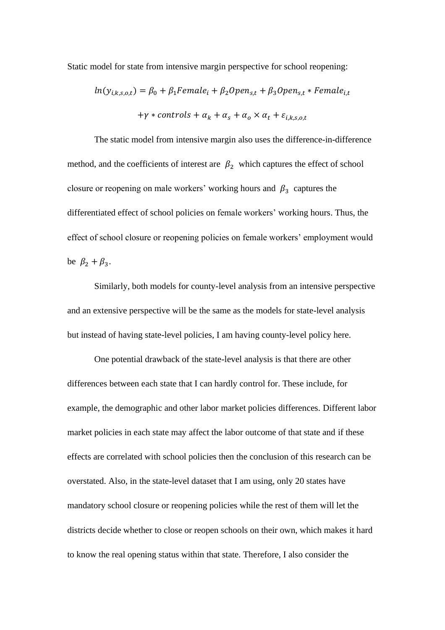Static model for state from intensive margin perspective for school reopening:

$$
ln(y_{i,k,s,o,t}) = \beta_0 + \beta_1 Female_i + \beta_2 Open_{s,t} + \beta_3 Open_{s,t} * Female_{i,t}
$$

$$
+ \gamma * controls + \alpha_k + \alpha_s + \alpha_o \times \alpha_t + \varepsilon_{i,k,s,o,t}
$$

The static model from intensive margin also uses the difference-in-difference method, and the coefficients of interest are  $\beta_2$  which captures the effect of school closure or reopening on male workers' working hours and  $\beta_3$  captures the differentiated effect of school policies on female workers' working hours. Thus, the effect of school closure or reopening policies on female workers' employment would be  $\beta_2 + \beta_3$ .

Similarly, both models for county-level analysis from an intensive perspective and an extensive perspective will be the same as the models for state-level analysis but instead of having state-level policies, I am having county-level policy here.

One potential drawback of the state-level analysis is that there are other differences between each state that I can hardly control for. These include, for example, the demographic and other labor market policies differences. Different labor market policies in each state may affect the labor outcome of that state and if these effects are correlated with school policies then the conclusion of this research can be overstated. Also, in the state-level dataset that I am using, only 20 states have mandatory school closure or reopening policies while the rest of them will let the districts decide whether to close or reopen schools on their own, which makes it hard to know the real opening status within that state. Therefore, I also consider the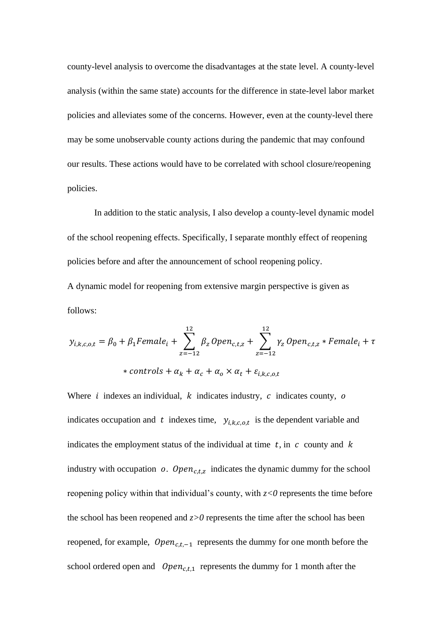county-level analysis to overcome the disadvantages at the state level. A county-level analysis (within the same state) accounts for the difference in state-level labor market policies and alleviates some of the concerns. However, even at the county-level there may be some unobservable county actions during the pandemic that may confound our results. These actions would have to be correlated with school closure/reopening policies.

In addition to the static analysis, I also develop a county-level dynamic model of the school reopening effects. Specifically, I separate monthly effect of reopening policies before and after the announcement of school reopening policy.

A dynamic model for reopening from extensive margin perspective is given as follows:

$$
y_{i,k,c,o,t} = \beta_0 + \beta_1 Female_i + \sum_{z=-12}^{12} \beta_z Open_{c,t,z} + \sum_{z=-12}^{12} \gamma_z Open_{c,t,z} * Female_i + \tau
$$
  
\* controls +  $\alpha_k + \alpha_c + \alpha_o \times \alpha_t + \varepsilon_{i,k,c,o,t}$ 

Where  $i$  indexes an individual,  $k$  indicates industry,  $c$  indicates county,  $o$ indicates occupation and t indexes time,  $y_{i,k,c,o,t}$  is the dependent variable and indicates the employment status of the individual at time  $t$ , in  $c$  county and  $k$ industry with occupation  $o$ . Open<sub>c,t,z</sub> indicates the dynamic dummy for the school reopening policy within that individual's county, with  $z < 0$  represents the time before the school has been reopened and  $z>0$  represents the time after the school has been reopened, for example,  $Open_{c,t,-1}$  represents the dummy for one month before the school ordered open and  $Open_{c,t,1}$  represents the dummy for 1 month after the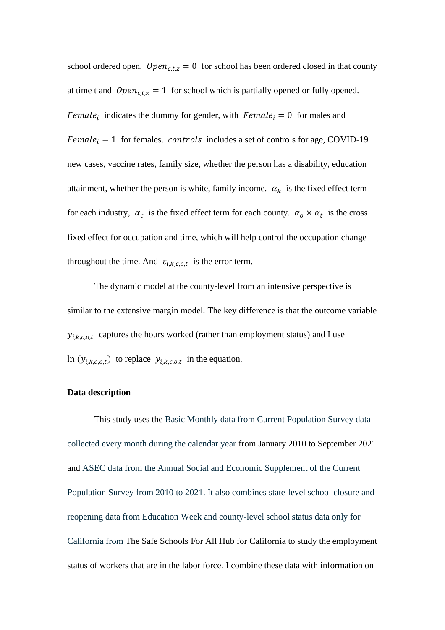school ordered open.  $Open_{c,t,z} = 0$  for school has been ordered closed in that county at time t and  $Open_{c,t,z} = 1$  for school which is partially opened or fully opened. Female<sub>i</sub> indicates the dummy for gender, with  $Female_i = 0$  for males and  $Female_i = 1$  for females. *controls* includes a set of controls for age, COVID-19 new cases, vaccine rates, family size, whether the person has a disability, education attainment, whether the person is white, family income.  $\alpha_k$  is the fixed effect term for each industry,  $\alpha_c$  is the fixed effect term for each county.  $\alpha_o \times \alpha_t$  is the cross fixed effect for occupation and time, which will help control the occupation change throughout the time. And  $\varepsilon_{i,k,c,o,t}$  is the error term.

The dynamic model at the county-level from an intensive perspective is similar to the extensive margin model. The key difference is that the outcome variable  $y_{i,k,c,o,t}$  captures the hours worked (rather than employment status) and I use In  $(y_{i,k,c,o,t})$  to replace  $y_{i,k,c,o,t}$  in the equation.

#### **Data description**

This study uses the Basic Monthly data from Current Population Survey data collected every month during the calendar year from January 2010 to September 2021 and ASEC data from the Annual Social and Economic Supplement of the Current Population Survey from 2010 to 2021. It also combines state-level school closure and reopening data from Education Week and county-level school status data only for California from The Safe Schools For All Hub for California to study the employment status of workers that are in the labor force. I combine these data with information on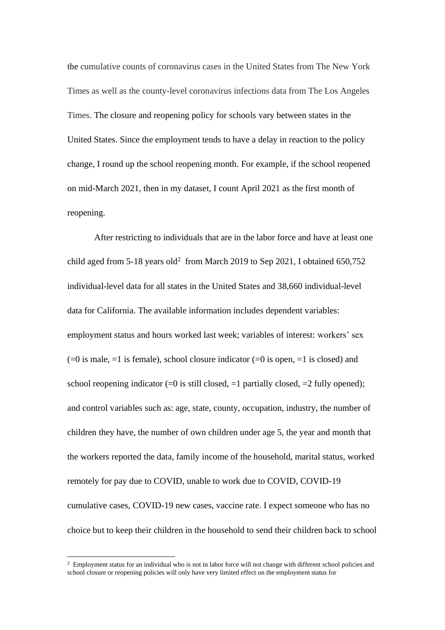the cumulative counts of coronavirus cases in the United States from The New York Times as well as the county-level coronavirus infections data from The Los Angeles Times. The closure and reopening policy for schools vary between states in the United States. Since the employment tends to have a delay in reaction to the policy change, I round up the school reopening month. For example, if the school reopened on mid-March 2021, then in my dataset, I count April 2021 as the first month of reopening.

After restricting to individuals that are in the labor force and have at least one child aged from  $5-18$  years old<sup>2</sup> from March 2019 to Sep 2021, I obtained 650,752 individual-level data for all states in the United States and 38,660 individual-level data for California. The available information includes dependent variables: employment status and hours worked last week; variables of interest: workers' sex  $(=0$  is male,  $=1$  is female), school closure indicator  $(=0$  is open,  $=1$  is closed) and school reopening indicator  $(=0$  is still closed,  $=1$  partially closed,  $=2$  fully opened); and control variables such as: age, state, county, occupation, industry, the number of children they have, the number of own children under age 5, the year and month that the workers reported the data, family income of the household, marital status, worked remotely for pay due to COVID, unable to work due to COVID, COVID-19 cumulative cases, COVID-19 new cases, vaccine rate. I expect someone who has no choice but to keep their children in the household to send their children back to school

<sup>&</sup>lt;sup>2</sup> Employment status for an individual who is not in labor force will not change with different school policies and school closure or reopening policies will only have very limited effect on the employment status for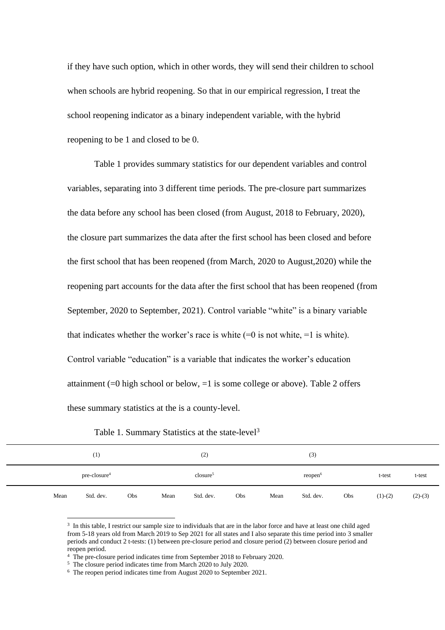if they have such option, which in other words, they will send their children to school when schools are hybrid reopening. So that in our empirical regression, I treat the school reopening indicator as a binary independent variable, with the hybrid reopening to be 1 and closed to be 0.

Table 1 provides summary statistics for our dependent variables and control variables, separating into 3 different time periods. The pre-closure part summarizes the data before any school has been closed (from August, 2018 to February, 2020), the closure part summarizes the data after the first school has been closed and before the first school that has been reopened (from March, 2020 to August,2020) while the reopening part accounts for the data after the first school that has been reopened (from September, 2020 to September, 2021). Control variable "white" is a binary variable that indicates whether the worker's race is white  $(=0$  is not white,  $=1$  is white). Control variable "education" is a variable that indicates the worker's education attainment  $(=0$  high school or below,  $=1$  is some college or above). Table 2 offers these summary statistics at the is a county-level.

|      | (1)            |     |      | (2)                |     |      | (3)                 |     |           |           |
|------|----------------|-----|------|--------------------|-----|------|---------------------|-----|-----------|-----------|
|      | $pre-closure4$ |     |      | $\text{closure}^5$ |     |      | reopen <sup>6</sup> |     | t-test    | t-test    |
| Mean | Std. dev.      | Obs | Mean | Std. dev.          | Obs | Mean | Std. dev.           | Obs | $(1)-(2)$ | $(2)-(3)$ |

Table 1. Summary Statistics at the state-level<sup>3</sup>

<sup>3</sup> In this table, I restrict our sample size to individuals that are in the labor force and have at least one child aged from 5-18 years old from March 2019 to Sep 2021 for all states and I also separate this time period into 3 smaller periods and conduct 2 t-tests: (1) between pre-closure period and closure period (2) between closure period and reopen period.

<sup>&</sup>lt;sup>4</sup> The pre-closure period indicates time from September 2018 to February 2020.

<sup>5</sup> The closure period indicates time from March 2020 to July 2020.

<sup>6</sup> The reopen period indicates time from August 2020 to September 2021.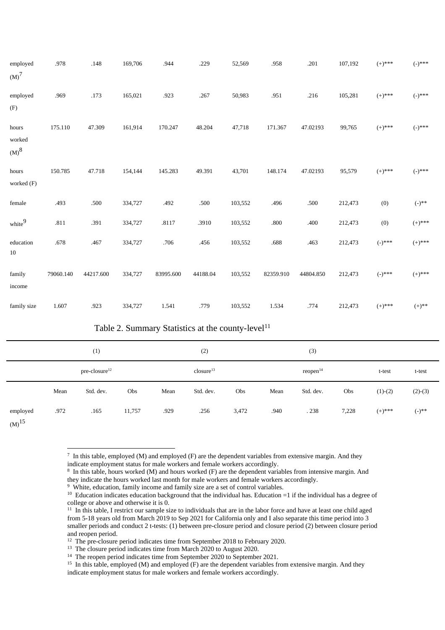| employed                                           | .978      | .148      | 169,706 | .944      | .229     | 52,569  | .958      | .201      | 107,192 | $(+)$ ***        | $(-)^{***}$ |
|----------------------------------------------------|-----------|-----------|---------|-----------|----------|---------|-----------|-----------|---------|------------------|-------------|
| (M) <sup>7</sup>                                   |           |           |         |           |          |         |           |           |         |                  |             |
| employed<br>(F)                                    | .969      | .173      | 165,021 | .923      | .267     | 50,983  | .951      | .216      | 105,281 | $(+)$ ***        | $(-)^{***}$ |
| hours<br>worked<br>$\left( \mathrm{M}\right) ^{8}$ | 175.110   | 47.309    | 161,914 | 170.247   | 48.204   | 47,718  | 171.367   | 47.02193  | 99,765  | $(+)$ ***        | $(-)^{***}$ |
| hours<br>worked (F)                                | 150.785   | 47.718    | 154,144 | 145.283   | 49.391   | 43,701  | 148.174   | 47.02193  | 95,579  | $(+)$ ***        | $(-)^{***}$ |
| female                                             | .493      | .500      | 334,727 | .492      | .500     | 103,552 | .496      | $.500\,$  | 212,473 | (0)              | $(-)^{**}$  |
| white <sup>9</sup>                                 | .811      | .391      | 334,727 | .8117     | .3910    | 103,552 | $.800\,$  | .400      | 212,473 | (0)              | $(+)$ ***   |
| education<br>10                                    | .678      | .467      | 334,727 | .706      | .456     | 103,552 | .688      | .463      | 212,473 | $(-)^{***}$      | $(+)$ ***   |
| family<br>income                                   | 79060.140 | 44217.600 | 334,727 | 83995.600 | 44188.04 | 103,552 | 82359.910 | 44804.850 | 212,473 | $(\text{-})$ *** | $(+)$ ***   |
| family size                                        | 1.607     | .923      | 334,727 | 1.541     | .779     | 103,552 | 1.534     | .774      | 212,473 | $(+)$ ***        | $(+) ^{**}$ |

Table 2. Summary Statistics at the county-level<sup>11</sup>

|                                    |                           | (1)       |        |      | (2)                   |       |      | (3)                  |       |           |            |
|------------------------------------|---------------------------|-----------|--------|------|-----------------------|-------|------|----------------------|-------|-----------|------------|
|                                    | pre-closure <sup>12</sup> |           |        |      | closure <sup>13</sup> |       |      | reopen <sup>14</sup> |       | t-test    | t-test     |
|                                    | Mean                      | Std. dev. | Obs    | Mean | Std. dev.             | Obs   | Mean | Std. dev.            | Obs   | $(1)-(2)$ | $(2)-(3)$  |
| employed<br>$\omega$ <sup>15</sup> | .972                      | .165      | 11,757 | .929 | .256                  | 3,472 | .940 | .238                 | 7,228 | $(+)$ *** | $(-)^{**}$ |

 $(M)$ 

 $^7$  In this table, employed (M) and employed (F) are the dependent variables from extensive margin. And they indicate employment status for male workers and female workers accordingly.

<sup>8</sup> In this table, hours worked (M) and hours worked (F) are the dependent variables from intensive margin. And they indicate the hours worked last month for male workers and female workers accordingly.

<sup>&</sup>lt;sup>9</sup> White, education, family income and family size are a set of control variables.

<sup>&</sup>lt;sup>10</sup> Education indicates education background that the individual has. Education =1 if the individual has a degree of college or above and otherwise it is 0.

 $11$  In this table, I restrict our sample size to individuals that are in the labor force and have at least one child aged from 5-18 years old from March 2019 to Sep 2021 for California only and I also separate this time period into 3 smaller periods and conduct 2 t-tests: (1) between pre-closure period and closure period (2) between closure period and reopen period.

<sup>&</sup>lt;sup>12</sup> The pre-closure period indicates time from September 2018 to February 2020.

<sup>&</sup>lt;sup>13</sup> The closure period indicates time from March 2020 to August 2020.

<sup>&</sup>lt;sup>14</sup> The reopen period indicates time from September 2020 to September 2021.

<sup>&</sup>lt;sup>15</sup> In this table, employed (M) and employed (F) are the dependent variables from extensive margin. And they indicate employment status for male workers and female workers accordingly.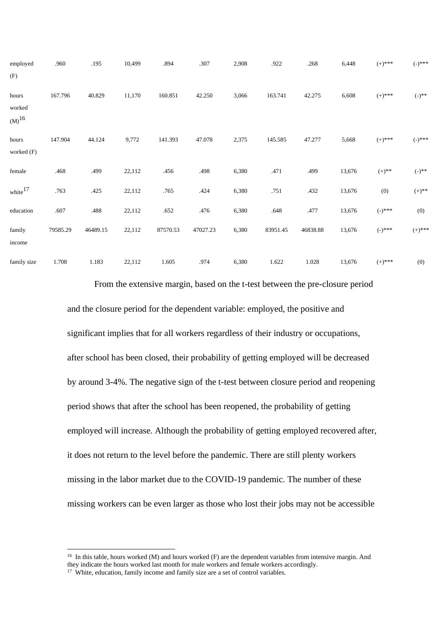| employed            | .960     | .195     | 10,499 | .894     | .307     | 2,908 | .922     | .268     | 6,448  | $(+)$ ***   | $(-)^{***}$ |
|---------------------|----------|----------|--------|----------|----------|-------|----------|----------|--------|-------------|-------------|
| (F)                 |          |          |        |          |          |       |          |          |        |             |             |
| hours               | 167.796  | 40.829   | 11,170 | 160.851  | 42.250   | 3,066 | 163.741  | 42.275   | 6,608  | $(+)$ ***   | $(-)^{**}$  |
| worked              |          |          |        |          |          |       |          |          |        |             |             |
| $(M)^{16}$          |          |          |        |          |          |       |          |          |        |             |             |
| hours               | 147.904  | 44.124   | 9,772  | 141.393  | 47.078   | 2,375 | 145.585  | 47.277   | 5,668  | $(+)$ ***   | $(-)^{***}$ |
| worked (F)          |          |          |        |          |          |       |          |          |        |             |             |
| female              | .468     | .499     | 22,112 | .456     | .498     | 6,380 | .471     | .499     | 13,676 | $(+)$ **    | $(-)^{**}$  |
| white <sup>17</sup> | .763     | .425     | 22,112 | .765     | .424     | 6,380 | .751     | .432     | 13,676 | (0)         | $(+)$ **    |
| education           | .607     | .488     | 22,112 | .652     | .476     | 6,380 | .648     | .477     | 13,676 | $(-)^{***}$ | (0)         |
| family              | 79585.29 | 46489.15 | 22,112 | 87570.53 | 47027.23 | 6,380 | 83951.45 | 46838.88 | 13,676 | $(-)^{***}$ | $(+)$ ***   |
| income              |          |          |        |          |          |       |          |          |        |             |             |
| family size         | 1.708    | 1.183    | 22,112 | 1.605    | .974     | 6,380 | 1.622    | 1.028    | 13,676 | $(+)$ ***   | (0)         |

From the extensive margin, based on the t-test between the pre-closure period and the closure period for the dependent variable: employed, the positive and significant implies that for all workers regardless of their industry or occupations, after school has been closed, their probability of getting employed will be decreased by around 3-4%. The negative sign of the t-test between closure period and reopening period shows that after the school has been reopened, the probability of getting employed will increase. Although the probability of getting employed recovered after, it does not return to the level before the pandemic. There are still plenty workers missing in the labor market due to the COVID-19 pandemic. The number of these missing workers can be even larger as those who lost their jobs may not be accessible

 $16$  In this table, hours worked (M) and hours worked (F) are the dependent variables from intensive margin. And they indicate the hours worked last month for male workers and female workers accordingly.

<sup>&</sup>lt;sup>17</sup> White, education, family income and family size are a set of control variables.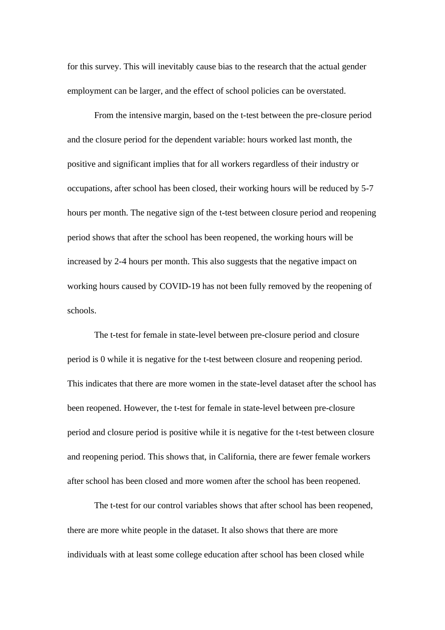for this survey. This will inevitably cause bias to the research that the actual gender employment can be larger, and the effect of school policies can be overstated.

From the intensive margin, based on the t-test between the pre-closure period and the closure period for the dependent variable: hours worked last month, the positive and significant implies that for all workers regardless of their industry or occupations, after school has been closed, their working hours will be reduced by 5-7 hours per month. The negative sign of the t-test between closure period and reopening period shows that after the school has been reopened, the working hours will be increased by 2-4 hours per month. This also suggests that the negative impact on working hours caused by COVID-19 has not been fully removed by the reopening of schools.

The t-test for female in state-level between pre-closure period and closure period is 0 while it is negative for the t-test between closure and reopening period. This indicates that there are more women in the state-level dataset after the school has been reopened. However, the t-test for female in state-level between pre-closure period and closure period is positive while it is negative for the t-test between closure and reopening period. This shows that, in California, there are fewer female workers after school has been closed and more women after the school has been reopened.

The t-test for our control variables shows that after school has been reopened, there are more white people in the dataset. It also shows that there are more individuals with at least some college education after school has been closed while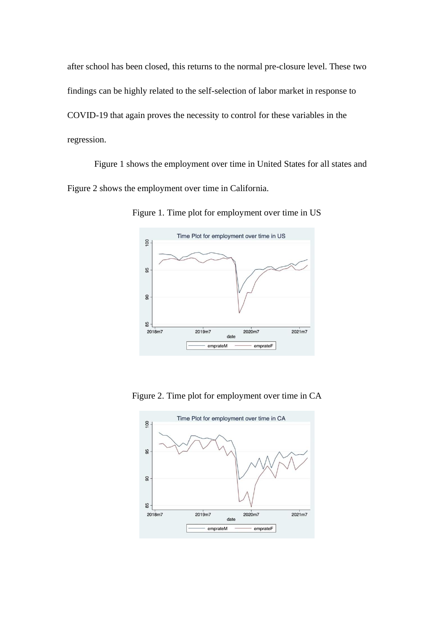after school has been closed, this returns to the normal pre-closure level. These two findings can be highly related to the self-selection of labor market in response to COVID-19 that again proves the necessity to control for these variables in the regression.

Figure 1 shows the employment over time in United States for all states and Figure 2 shows the employment over time in California.



Figure 1. Time plot for employment over time in US

Figure 2. Time plot for employment over time in CA

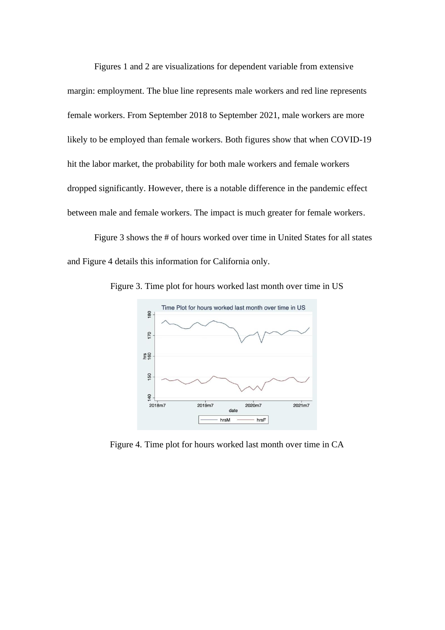Figures 1 and 2 are visualizations for dependent variable from extensive margin: employment. The blue line represents male workers and red line represents female workers. From September 2018 to September 2021, male workers are more likely to be employed than female workers. Both figures show that when COVID-19 hit the labor market, the probability for both male workers and female workers dropped significantly. However, there is a notable difference in the pandemic effect between male and female workers. The impact is much greater for female workers.

Figure 3 shows the # of hours worked over time in United States for all states and Figure 4 details this information for California only.



Figure 3. Time plot for hours worked last month over time in US

Figure 4. Time plot for hours worked last month over time in CA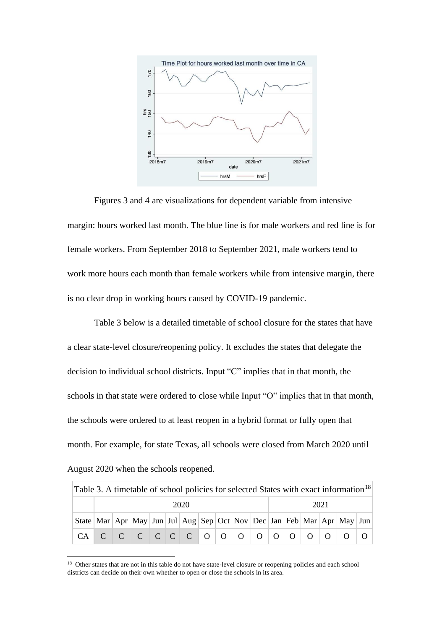

Figures 3 and 4 are visualizations for dependent variable from intensive margin: hours worked last month. The blue line is for male workers and red line is for female workers. From September 2018 to September 2021, male workers tend to work more hours each month than female workers while from intensive margin, there is no clear drop in working hours caused by COVID-19 pandemic.

Table 3 below is a detailed timetable of school closure for the states that have a clear state-level closure/reopening policy. It excludes the states that delegate the decision to individual school districts. Input "C" implies that in that month, the schools in that state were ordered to close while Input "O" implies that in that month, the schools were ordered to at least reopen in a hybrid format or fully open that month. For example, for state Texas, all schools were closed from March 2020 until August 2020 when the schools reopened.

| Table 3. A timetable of school policies for selected States with exact information <sup>18</sup> |                                                                                                       |  |  |  |  |  |  |  |  |  |  |  |  |  |  |  |
|--------------------------------------------------------------------------------------------------|-------------------------------------------------------------------------------------------------------|--|--|--|--|--|--|--|--|--|--|--|--|--|--|--|
|                                                                                                  | 2020<br>2021                                                                                          |  |  |  |  |  |  |  |  |  |  |  |  |  |  |  |
|                                                                                                  | State   Mar   Apr   May   Jun   Jul   Aug   Sep   Oct   Nov   Dec   Jan   Feb   Mar   Apr   May   Jun |  |  |  |  |  |  |  |  |  |  |  |  |  |  |  |
|                                                                                                  |                                                                                                       |  |  |  |  |  |  |  |  |  |  |  |  |  |  |  |

<sup>&</sup>lt;sup>18</sup> Other states that are not in this table do not have state-level closure or reopening policies and each school districts can decide on their own whether to open or close the schools in its area.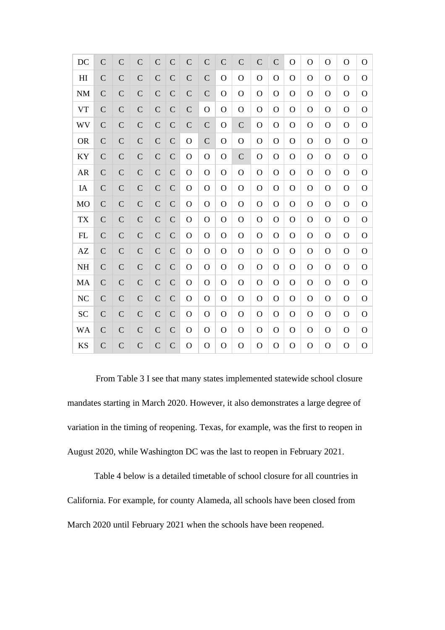| DC               | $\mathcal{C}$ | $\mathsf{C}$   | $\mathcal{C}$ | $\mathcal{C}$ | $\mathcal{C}$ | $\mathcal{C}$  | $\mathsf{C}$   | $\mathcal{C}$  | $\mathcal{C}$  | $\overline{C}$ | $\mathbf C$  | O              | $\Omega$       | $\overline{O}$ | $\mathbf O$  | $\overline{O}$ |
|------------------|---------------|----------------|---------------|---------------|---------------|----------------|----------------|----------------|----------------|----------------|--------------|----------------|----------------|----------------|--------------|----------------|
| H <sub>I</sub>   | $\mathcal{C}$ | $\overline{C}$ | $\mathcal{C}$ | $\mathcal{C}$ | $\mathcal{C}$ | $\mathcal{C}$  | $\overline{C}$ | O              | $\mathbf O$    | $\mathbf O$    | $\Omega$     | $\Omega$       | $\Omega$       | $\mathbf O$    | $\mathbf{O}$ | $\mathbf{O}$   |
| $\mathbf{NM}$    | $\mathcal{C}$ | $\overline{C}$ | $\mathsf{C}$  | $\mathcal{C}$ | $\mathcal{C}$ | $\mathsf{C}$   | $\mathcal{C}$  | $\overline{O}$ | $\overline{O}$ | $\mathbf O$    | $\mathbf{O}$ | $\mathbf O$    | $\mathbf O$    | $\overline{O}$ | $\mathbf O$  | $\mathbf O$    |
| ${\rm VT}$       | $\mathcal{C}$ | $\mathsf{C}$   | $\mathsf C$   | $\mathsf C$   | $\mathcal{C}$ | $\mathcal{C}$  | $\overline{O}$ | $\mathbf O$    | $\overline{O}$ | $\mathbf O$    | O            | $\mathbf O$    | $\overline{O}$ | $\overline{O}$ | $\mathbf{O}$ | $\mathbf{O}$   |
| WV               | $\mathcal{C}$ | $\overline{C}$ | $\mathcal{C}$ | $\mathsf{C}$  | $\mathcal{C}$ | $\mathsf{C}$   | $\overline{C}$ | $\overline{O}$ | $\mathcal{C}$  | $\mathbf O$    | $\mathbf O$  | $\mathbf O$    | $\mathbf O$    | $\overline{O}$ | $\mathbf O$  | $\mathbf O$    |
| <b>OR</b>        | $\mathcal{C}$ | $\mathsf{C}$   | $\mathsf C$   | $\mathsf C$   | $\mathcal{C}$ | $\overline{O}$ | $\mathcal{C}$  | $\mathbf O$    | $\mathbf O$    | $\mathbf O$    | $\mathbf{O}$ | O              | $\mathbf O$    | $\mathbf{O}$   | O            | $\mathbf{O}$   |
| KY               | $\mathcal{C}$ | $\mathsf{C}$   | $\mathcal{C}$ | $\mathcal{C}$ | $\mathcal{C}$ | $\mathbf O$    | $\Omega$       | $\mathbf O$    | $\mathbf C$    | $\mathbf O$    | $\mathbf{O}$ | $\mathbf O$    | $\mathbf O$    | $\overline{O}$ | O            | $\mathbf O$    |
| <b>AR</b>        | $\mathcal{C}$ | $\mathsf{C}$   | $\mathcal{C}$ | $\mathbf C$   | $\mathbf C$   | $\Omega$       | $\overline{O}$ | $\overline{O}$ | $\mathbf O$    | O              | O            | $\mathbf O$    | $\mathbf O$    | $\overline{O}$ | O            | $\mathbf O$    |
| IA               | $\mathcal{C}$ | $\overline{C}$ | $\mathsf{C}$  | $\mathcal{C}$ | $\mathcal{C}$ | $\mathbf O$    | $\overline{O}$ | O              | $\mathbf O$    | O              | O            | $\mathbf O$    | $\mathbf O$    | $\overline{O}$ | O            | $\mathbf O$    |
| <b>MO</b>        | $\mathcal{C}$ | $\mathsf{C}$   | $\mathsf{C}$  | $\mathsf C$   | $\mathcal{C}$ | $\mathbf O$    | $\overline{O}$ | $\mathbf O$    | $\overline{O}$ | $\mathbf O$    | $\mathbf{O}$ | $\overline{O}$ | $\mathbf O$    | $\overline{O}$ | $\mathbf{O}$ | $\mathbf O$    |
| ${\rm T}{\rm X}$ | $\mathsf{C}$  | $\overline{C}$ | $\mathsf{C}$  | $\mathsf{C}$  | $\mathsf{C}$  | $\mathbf O$    | O              | O              | $\mathbf O$    | O              | O            | $\mathbf O$    | $\overline{O}$ | $\overline{O}$ | O            | $\mathbf O$    |
| FL               | $\mathsf{C}$  | $\mathsf{C}$   | $\mathsf{C}$  | $\mathsf C$   | $\mathcal{C}$ | $\mathbf O$    | $\overline{O}$ | $\mathbf O$    | $\mathbf{O}$   | $\mathbf O$    | $\mathbf{O}$ | $\mathbf O$    | $\overline{O}$ | $\overline{O}$ | $\mathbf O$  | $\mathbf O$    |
| AZ               | $\mathcal{C}$ | $\overline{C}$ | $\mathsf{C}$  | $\mathsf{C}$  | $\mathsf{C}$  | $\mathbf O$    | $\mathbf O$    | O              | $\mathbf O$    | O              | O            | $\Omega$       | $\mathbf O$    | $\overline{O}$ | O            | $\Omega$       |
| <b>NH</b>        | $\mathcal{C}$ | $\overline{C}$ | $\mathsf{C}$  | $\mathsf C$   | $\mathcal{C}$ | $\mathbf O$    | $\Omega$       | $\overline{O}$ | $\mathbf O$    | $\mathbf{O}$   | $\mathbf{O}$ | $\mathbf O$    | $\mathbf O$    | $\overline{O}$ | $\mathbf{O}$ | $\mathbf{O}$   |
| MA               | $\mathcal{C}$ | $\overline{C}$ | $\mathsf{C}$  | $\mathsf{C}$  | $\mathsf{C}$  | $\mathbf O$    | O              | $\mathbf O$    | $\mathbf O$    | O              | O            | $\Omega$       | $\mathbf O$    | O              | O            | $\Omega$       |
| NC               | $\mathsf{C}$  | $\mathsf{C}$   | $\mathsf{C}$  | ${\bf C}$     | $\mathcal{C}$ | $\Omega$       | $\mathbf{O}$   | $\mathbf O$    | $\overline{O}$ | O              | $\mathbf{O}$ | $\overline{O}$ | $\mathbf O$    | $\overline{O}$ | $\mathbf{O}$ | $\mathbf O$    |
| <b>SC</b>        | $\mathcal{C}$ | $\mathsf{C}$   | $\mathbf C$   | $\mathcal{C}$ | $\mathsf{C}$  | $\mathbf O$    | O              | O              | $\mathbf O$    | O              | O            | $\mathbf O$    | $\overline{O}$ | $\overline{O}$ | O            | O              |
| <b>WA</b>        | $\mathsf{C}$  | $\mathsf{C}$   | $\mathsf{C}$  | $\mathsf{C}$  | $\mathcal{C}$ | $\overline{O}$ | $\overline{O}$ | $\mathbf O$    | $\mathbf O$    | $\mathbf O$    | $\mathbf{O}$ | $\overline{O}$ | $\mathbf O$    | $\overline{O}$ | O            | $\Omega$       |
| <b>KS</b>        | $\mathcal{C}$ | $\mathsf{C}$   | $\mathcal{C}$ | $\mathcal{C}$ | $\mathcal{C}$ | $\Omega$       | O              | $\mathbf O$    | $\mathbf O$    | O              | O            | O              | $\Omega$       | $\mathbf O$    | O            | $\mathbf O$    |

From Table 3 I see that many states implemented statewide school closure mandates starting in March 2020. However, it also demonstrates a large degree of variation in the timing of reopening. Texas, for example, was the first to reopen in August 2020, while Washington DC was the last to reopen in February 2021.

Table 4 below is a detailed timetable of school closure for all countries in California. For example, for county Alameda, all schools have been closed from March 2020 until February 2021 when the schools have been reopened.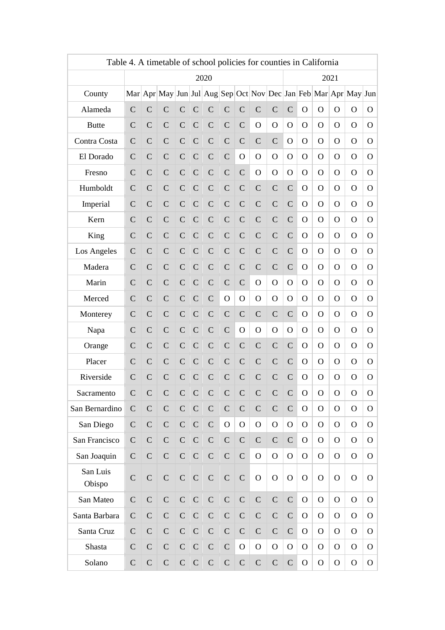|                                                                                       | Table 4. A timetable of school policies for counties in California |                |                |               |               |               |                |                |                |               |                |                |                |              |                |                |
|---------------------------------------------------------------------------------------|--------------------------------------------------------------------|----------------|----------------|---------------|---------------|---------------|----------------|----------------|----------------|---------------|----------------|----------------|----------------|--------------|----------------|----------------|
| 2020<br>2021                                                                          |                                                                    |                |                |               |               |               |                |                |                |               |                |                |                |              |                |                |
| Mar Apr May Jun Jul Aug Sep Oct Nov Dec Jan Feb Mar Apr May Jun<br>County<br>$\Omega$ |                                                                    |                |                |               |               |               |                |                |                |               |                |                |                |              |                |                |
| Alameda                                                                               | $\mathcal{C}$                                                      | $\overline{C}$ | $\mathcal{C}$  | $\mathcal{C}$ | $\mathcal{C}$ | $\mathcal{C}$ | $\mathcal{C}$  | $\overline{C}$ | $\mathcal{C}$  | $\mathcal{C}$ | $\mathbf C$    | $\mathbf O$    |                | $\mathbf O$  | $\Omega$       | $\mathbf{O}$   |
| <b>Butte</b>                                                                          | $\mathcal{C}$                                                      | $\mathcal{C}$  | $\mathcal{C}$  | $\mathcal{C}$ | $\mathcal{C}$ | $\mathsf{C}$  | $\mathcal{C}$  | $\mathcal{C}$  | $\overline{O}$ | $\mathbf O$   | O              | $\Omega$       | $\Omega$       | $\Omega$     | $\Omega$       | $\mathbf{O}$   |
| Contra Costa                                                                          | $\mathcal{C}$                                                      | $\mathcal{C}$  | $\mathcal{C}$  | $\mathcal{C}$ | $\mathcal{C}$ | $\mathcal{C}$ | $\mathcal{C}$  | $\mathcal{C}$  | $\mathcal{C}$  | $\mathcal{C}$ | O              | O              | $\Omega$       | $\Omega$     | $\Omega$       | $\mathbf{O}$   |
| El Dorado                                                                             | $\mathcal{C}$                                                      | $\mathcal{C}$  | $\mathcal{C}$  | $\mathcal{C}$ | $\mathsf{C}$  | $\mathcal{C}$ | $\mathcal{C}$  | $\overline{O}$ | $\overline{O}$ | $\mathbf O$   | $\mathbf{O}$   | O              | $\Omega$       | $\Omega$     | $\Omega$       | O              |
| Fresno                                                                                | $\mathcal{C}$                                                      | $\mathcal{C}$  | $\mathcal{C}$  | $\mathsf{C}$  | $\mathsf{C}$  | $\mathsf{C}$  | $\mathcal{C}$  | $\mathcal{C}$  | $\overline{O}$ | $\mathbf O$   | O              | O              | $\Omega$       | $\Omega$     | $\Omega$       | O              |
| Humboldt                                                                              | $\mathcal{C}$                                                      | $\mathcal{C}$  | $\mathcal{C}$  | $\mathsf{C}$  | $\mathsf{C}$  | $\mathsf C$   | $\mathsf{C}$   | $\mathcal{C}$  | $\mathsf{C}$   | $\mathcal{C}$ | $\mathcal{C}$  | $\Omega$       | $\mathbf{O}$   | $\Omega$     | $\Omega$       | $\mathbf{O}$   |
| Imperial                                                                              | $\mathcal{C}$                                                      | $\mathcal{C}$  | $\mathcal{C}$  | $\mathcal{C}$ | $\mathcal{C}$ | $\mathsf{C}$  | $\mathsf{C}$   | $\mathbf C$    | $\mathcal{C}$  | $\mathcal{C}$ | $\mathcal{C}$  | O              | $\Omega$       | $\Omega$     | $\Omega$       | $\mathbf{O}$   |
| Kern                                                                                  | $\mathcal{C}$                                                      | $\mathcal{C}$  | $\mathcal{C}$  | $\mathcal{C}$ | $\mathsf{C}$  | $\mathsf{C}$  | $\mathsf{C}$   | $\mathcal{C}$  | $\mathsf{C}$   | $\mathcal{C}$ | $\mathcal{C}$  | $\Omega$       | $\Omega$       | $\Omega$     | $\Omega$       | $\mathbf{O}$   |
| King                                                                                  | $\mathcal{C}$                                                      | $\mathcal{C}$  | $\mathcal{C}$  | $\mathsf{C}$  | $\mathsf{C}$  | $\mathsf{C}$  | $\mathsf{C}$   | $\mathcal{C}$  | $\mathsf{C}$   | $\mathcal{C}$ | $\mathcal{C}$  | O              | $\Omega$       | $\Omega$     | $\Omega$       | O              |
| Los Angeles                                                                           | $\mathcal{C}$                                                      | $\mathcal{C}$  | $\mathcal{C}$  | $\mathcal{C}$ | $\mathsf C$   | $\mathsf C$   | $\mathsf{C}$   | $\mathcal{C}$  | $\mathsf{C}$   | $\mathsf{C}$  | $\mathcal{C}$  | $\Omega$       | $\mathbf{O}$   | $\Omega$     | $\Omega$       | $\mathbf{O}$   |
| Madera                                                                                | $\mathcal{C}$                                                      | $\mathcal{C}$  | $\mathcal{C}$  | $\mathcal{C}$ | $\mathcal{C}$ | $\mathsf{C}$  | $\mathsf{C}$   | $\mathcal{C}$  | $\mathcal{C}$  | $\mathcal{C}$ | $\mathcal{C}$  | O              | $\Omega$       | $\Omega$     | $\Omega$       | $\overline{O}$ |
| Marin                                                                                 | $\mathcal{C}$                                                      | $\mathcal{C}$  | $\mathcal{C}$  | $\mathcal{C}$ | $\mathsf{C}$  | $\mathsf{C}$  | $\mathcal{C}$  | $\mathcal{C}$  | $\mathbf O$    | $\mathbf O$   | $\mathbf{O}$   | O              | $\Omega$       | $\Omega$     | $\Omega$       | O              |
| Merced                                                                                | $\mathcal{C}$                                                      | $\mathcal{C}$  | $\mathcal{C}$  | $\mathsf{C}$  | $\mathcal{C}$ | $\mathcal{C}$ | $\mathbf O$    | O              | $\mathbf O$    | O             | O              | $\Omega$       | $\Omega$       | $\Omega$     | $\Omega$       | O              |
| Monterey                                                                              | $\mathcal{C}$                                                      | $\mathcal{C}$  | $\mathcal{C}$  | $\mathcal{C}$ | $\mathsf{C}$  | $\mathsf C$   | $\mathsf{C}$   | $\mathcal{C}$  | $\mathcal{C}$  | $\mathcal{C}$ | $\mathbf C$    | $\Omega$       | $\Omega$       | O            | $\Omega$       | O              |
| Napa                                                                                  | $\mathcal{C}$                                                      | $\mathcal{C}$  | $\mathcal{C}$  | $\mathcal{C}$ | $\mathcal{C}$ | $\mathcal{C}$ | $\mathcal{C}$  | $\mathbf O$    | O              | O             | O              | $\Omega$       | $\Omega$       | O            | $\Omega$       | $\overline{O}$ |
| Orange                                                                                | $\mathbf C$                                                        | $\mathcal{C}$  | $\mathcal{C}$  | $\mathcal{C}$ | $\mathcal{C}$ | $\mathsf{C}$  | $\mathcal{C}$  | $\mathcal{C}$  | $\mathcal{C}$  | $\mathcal{C}$ | $\mathbf C$    | $\Omega$       | $\Omega$       | $\Omega$     | $\Omega$       | $\mathbf{O}$   |
| Placer                                                                                | $\mathcal{C}$                                                      | $\mathcal{C}$  | $\mathcal{C}$  | $\mathcal{C}$ | $\mathcal{C}$ | $\mathcal{C}$ | $\mathsf{C}$   | $\mathbf C$    | $\mathcal{C}$  | $\mathcal{C}$ | $\mathsf{C}$   | O              | $\Omega$       | $\Omega$     | $\Omega$       | O              |
| Riverside                                                                             | $\mathcal{C}$                                                      | $\mathsf{C}$   | $\mathcal{C}$  | $\mathcal{C}$ | $\mathcal{C}$ | $\mathsf{C}$  | $\mathcal{C}$  | $\mathcal{C}$  | $\mathcal{C}$  | $\mathcal{C}$ | $\mathcal{C}$  | O              | O              | O            | $\Omega$       | O              |
| Sacramento                                                                            | $\mathsf{C}$                                                       | $\mathsf{C}$   | $\mathsf{C}$   | $\mathbf C$   | $\mathsf{C}$  | $\mathsf{C}$  | $\mathsf{C}$   | $\mathsf{C}$   | $\mathbf C$    | $\mathsf{C}$  | $\mathbf C$    | $\mathbf O$    | $\mathbf O$    | $\mathbf O$  | $\mathbf O$    | O              |
| San Bernardino                                                                        | $\mathcal{C}$                                                      | $\mathcal{C}$  | $\overline{C}$ | $\mathsf{C}$  | $\mathsf{C}$  | $\mathsf{C}$  | $\overline{C}$ | $\mathcal{C}$  | $\mathcal{C}$  | $\mathcal{C}$ | $\mathcal{C}$  | $\Omega$       | $\overline{O}$ | $\mathbf O$  | $\overline{O}$ | $\mathbf{O}$   |
| San Diego                                                                             | $\mathbf C$                                                        | $\mathcal{C}$  | $\mathsf{C}$   | $\mathsf{C}$  | $\mathcal{C}$ | $\mathcal{C}$ | $\mathbf O$    | $\mathbf{O}$   | $\mathbf O$    | $\mathbf O$   | $\mathbf{O}$   | $\overline{O}$ | $\Omega$       | $\mathbf{O}$ | $\Omega$       | $\mathbf{O}$   |
| San Francisco                                                                         | $\mathcal{C}$                                                      | $\mathcal{C}$  | $\mathcal{C}$  | $\mathcal{C}$ | $\mathcal{C}$ | $\mathcal{C}$ | $\mathcal{C}$  | $\mathcal{C}$  | $\mathcal{C}$  | $\mathbf C$   | $\mathbf C$    | $\Omega$       | $\Omega$       | O            | $\Omega$       | $\overline{O}$ |
| San Joaquin                                                                           | $\mathcal{C}$                                                      | $\mathsf{C}$   | $\mathsf{C}$   | $\mathsf{C}$  | $\mathsf{C}$  | $\mathsf{C}$  | $\mathsf{C}$   | $\overline{C}$ | $\mathbf O$    | $\mathbf{O}$  | $\mathbf{O}$   | $\Omega$       | $\Omega$       | O            | $\Omega$       | $\mathbf{O}$   |
| San Luis<br>Obispo                                                                    | $\mathcal{C}$                                                      | $\mathsf{C}$   | $\mathsf{C}$   | $\mathsf{C}$  | $\mathsf{C}$  | $\mathsf{C}$  | $\mathsf{C}$   | $\mathcal{C}$  | $\Omega$       | $\mathbf O$   | $\mathbf{O}$   | $\Omega$       | $\Omega$       | O            | $\Omega$       | $\mathbf{O}$   |
| San Mateo                                                                             | $\mathcal{C}$                                                      | $\mathcal{C}$  | $\mathsf{C}$   | $\mathbf C$   | $\mathsf{C}$  | ${\bf C}$     | $\mathsf{C}$   | $\mathsf{C}$   | $\mathsf{C}$   | $\mathcal{C}$ | $\overline{C}$ | $\Omega$       | $\mathbf{O}$   | $\mathbf{O}$ | $\Omega$       | $\overline{O}$ |
| Santa Barbara                                                                         | $\mathcal{C}$                                                      | $\mathsf{C}$   | $\mathsf{C}$   | $\mathcal{C}$ | $\mathsf{C}$  | $\mathsf{C}$  | $\mathsf{C}$   | $\mathsf{C}$   | $\mathsf{C}$   | $\mathsf{C}$  | $\mathcal{C}$  | $\mathbf{O}$   | $\mathbf{O}$   | $\mathbf{O}$ | $\Omega$       | $\mathbf{O}$   |
| Santa Cruz                                                                            | $\mathcal{C}$                                                      | $\mathcal{C}$  | $\mathsf{C}$   | $\mathcal{C}$ | $\mathcal{C}$ | $\mathcal{C}$ | $\mathcal{C}$  | $\mathcal{C}$  | $\mathcal{C}$  | $\mathcal{C}$ | $\mathbf C$    | $\mathbf{O}$   | $\mathbf{O}$   | $\mathbf{O}$ | $\Omega$       | $\mathbf{O}$   |
| Shasta                                                                                | $\mathcal{C}$                                                      | $\mathsf{C}$   | $\mathsf{C}$   | $\mathcal{C}$ | $\mathsf{C}$  | $\mathsf{C}$  | $\mathcal{C}$  | $\mathbf O$    | $\overline{O}$ | $\mathbf O$   | $\mathbf O$    | $\mathbf{O}$   | $\mathbf{O}$   | $\mathbf O$  | $\Omega$       | O              |
| Solano                                                                                | $\mathcal{C}$                                                      | $\mathsf{C}$   | $\mathsf{C}$   | $\mathcal{C}$ | $\mathsf{C}$  | $\mathsf{C}$  | $\mathsf{C}$   | $\mathcal{C}$  | $\mathsf{C}$   | $\mathsf{C}$  | $\mathsf{C}$   | $\mathbf{O}$   | $\mathbf{O}$   | $\mathbf{O}$ | $\mathbf{O}$   | O              |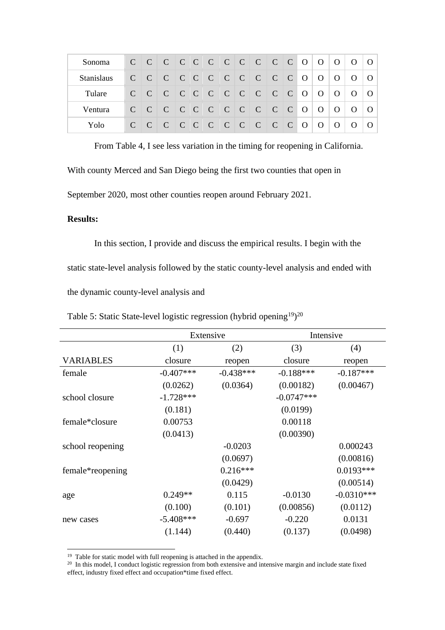| Sonoma $C C C C C C C C C C C C C O O O O O$ |  |  |  |  |  |  |  |                                                                           |  |
|----------------------------------------------|--|--|--|--|--|--|--|---------------------------------------------------------------------------|--|
| <b>Stanislaus</b>                            |  |  |  |  |  |  |  |                                                                           |  |
| Tulare                                       |  |  |  |  |  |  |  | $C   C   C   C   C   C   C   C   C   C   C   C   C   O   O   O   O   O  $ |  |
| Ventura                                      |  |  |  |  |  |  |  | $C   C   C   C   C   C   C   C   C   C   C   C   C   O   O   O   O   O  $ |  |
| Yolo                                         |  |  |  |  |  |  |  |                                                                           |  |

From Table 4, I see less variation in the timing for reopening in California.

With county Merced and San Diego being the first two counties that open in

September 2020, most other counties reopen around February 2021.

#### **Results:**

In this section, I provide and discuss the empirical results. I begin with the static state-level analysis followed by the static county-level analysis and ended with the dynamic county-level analysis and

|                  | Extensive   |             |              | Intensive    |
|------------------|-------------|-------------|--------------|--------------|
|                  | (1)         | (2)         | (3)          | (4)          |
| <b>VARIABLES</b> | closure     | reopen      | closure      | reopen       |
| female           | $-0.407***$ | $-0.438***$ | $-0.188***$  | $-0.187***$  |
|                  | (0.0262)    | (0.0364)    | (0.00182)    | (0.00467)    |
| school closure   | $-1.728***$ |             | $-0.0747***$ |              |
|                  | (0.181)     |             | (0.0199)     |              |
| female*closure   | 0.00753     |             | 0.00118      |              |
|                  | (0.0413)    |             | (0.00390)    |              |
| school reopening |             | $-0.0203$   |              | 0.000243     |
|                  |             | (0.0697)    |              | (0.00816)    |
| female*reopening |             | $0.216***$  |              | $0.0193***$  |
|                  |             | (0.0429)    |              | (0.00514)    |
| age              | $0.249**$   | 0.115       | $-0.0130$    | $-0.0310***$ |
|                  | (0.100)     | (0.101)     | (0.00856)    | (0.0112)     |
| new cases        | $-5.408***$ | $-0.697$    | $-0.220$     | 0.0131       |
|                  | (1.144)     | (0.440)     | (0.137)      | (0.0498)     |

Table 5: Static State-level logistic regression (hybrid opening<sup>19</sup>)<sup>20</sup>

<sup>&</sup>lt;sup>19</sup> Table for static model with full reopening is attached in the appendix.

<sup>&</sup>lt;sup>20</sup> In this model, I conduct logistic regression from both extensive and intensive margin and include state fixed effect, industry fixed effect and occupation\*time fixed effect.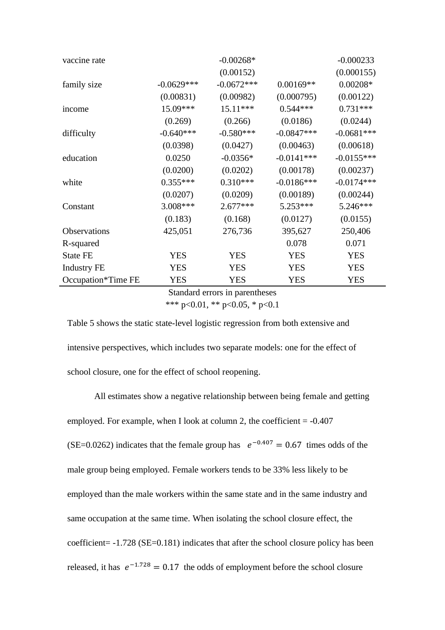| vaccine rate        |              | $-0.00268*$  |              | $-0.000233$  |
|---------------------|--------------|--------------|--------------|--------------|
|                     |              | (0.00152)    |              | (0.000155)   |
| family size         | $-0.0629***$ | $-0.0672***$ | $0.00169**$  | $0.00208*$   |
|                     | (0.00831)    | (0.00982)    | (0.000795)   | (0.00122)    |
| income              | 15.09***     | 15.11***     | $0.544***$   | $0.731***$   |
|                     | (0.269)      | (0.266)      | (0.0186)     | (0.0244)     |
| difficulty          | $-0.640***$  | $-0.580***$  | $-0.0847***$ | $-0.0681***$ |
|                     | (0.0398)     | (0.0427)     | (0.00463)    | (0.00618)    |
| education           | 0.0250       | $-0.0356*$   | $-0.0141***$ | $-0.0155***$ |
|                     | (0.0200)     | (0.0202)     | (0.00178)    | (0.00237)    |
| white               | $0.355***$   | $0.310***$   | $-0.0186***$ | $-0.0174***$ |
|                     | (0.0207)     | (0.0209)     | (0.00189)    | (0.00244)    |
| Constant            | 3.008***     | $2.677***$   | 5.253***     | 5.246***     |
|                     | (0.183)      | (0.168)      | (0.0127)     | (0.0155)     |
| <b>Observations</b> | 425,051      | 276,736      | 395,627      | 250,406      |
| R-squared           |              |              | 0.078        | 0.071        |
| <b>State FE</b>     | <b>YES</b>   | <b>YES</b>   | <b>YES</b>   | <b>YES</b>   |
| <b>Industry FE</b>  | YES          | <b>YES</b>   | <b>YES</b>   | <b>YES</b>   |
| Occupation*Time FE  | YES          | <b>YES</b>   | <b>YES</b>   | <b>YES</b>   |

Standard errors in parentheses \*\*\* p<0.01, \*\* p<0.05, \* p<0.1

Table 5 shows the static state-level logistic regression from both extensive and intensive perspectives, which includes two separate models: one for the effect of school closure, one for the effect of school reopening.

All estimates show a negative relationship between being female and getting employed. For example, when I look at column 2, the coefficient  $= -0.407$ (SE=0.0262) indicates that the female group has  $e^{-0.407} = 0.67$  times odds of the male group being employed. Female workers tends to be 33% less likely to be employed than the male workers within the same state and in the same industry and same occupation at the same time. When isolating the school closure effect, the coefficient= -1.728 (SE=0.181) indicates that after the school closure policy has been released, it has  $e^{-1.728} = 0.17$  the odds of employment before the school closure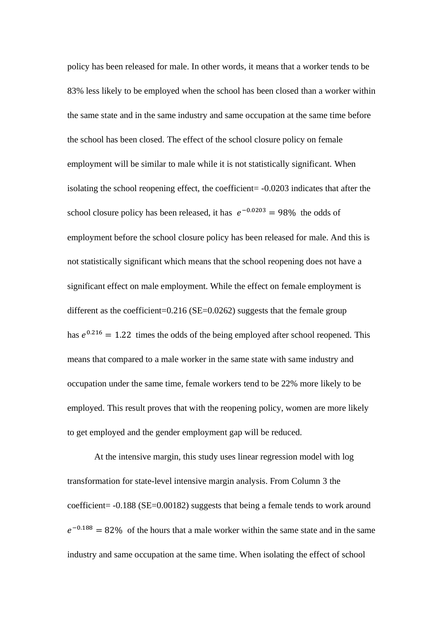policy has been released for male. In other words, it means that a worker tends to be 83% less likely to be employed when the school has been closed than a worker within the same state and in the same industry and same occupation at the same time before the school has been closed. The effect of the school closure policy on female employment will be similar to male while it is not statistically significant. When isolating the school reopening effect, the coefficient= -0.0203 indicates that after the school closure policy has been released, it has  $e^{-0.0203} = 98\%$  the odds of employment before the school closure policy has been released for male. And this is not statistically significant which means that the school reopening does not have a significant effect on male employment. While the effect on female employment is different as the coefficient=0.216 ( $SE$ =0.0262) suggests that the female group has  $e^{0.216} = 1.22$  times the odds of the being employed after school reopened. This means that compared to a male worker in the same state with same industry and occupation under the same time, female workers tend to be 22% more likely to be employed. This result proves that with the reopening policy, women are more likely to get employed and the gender employment gap will be reduced.

At the intensive margin, this study uses linear regression model with log transformation for state-level intensive margin analysis. From Column 3 the coefficient= -0.188 (SE=0.00182) suggests that being a female tends to work around  $e^{-0.188} = 82\%$  of the hours that a male worker within the same state and in the same industry and same occupation at the same time. When isolating the effect of school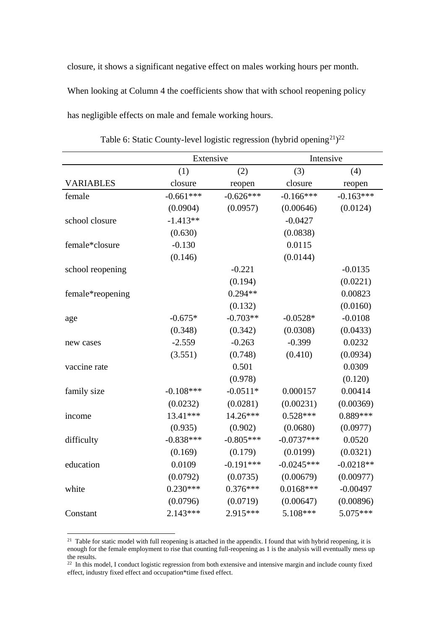closure, it shows a significant negative effect on males working hours per month. When looking at Column 4 the coefficients show that with school reopening policy has negligible effects on male and female working hours.

|                  | Extensive    |             | Intensive    |             |
|------------------|--------------|-------------|--------------|-------------|
|                  | (1)          | (2)         | (3)          | (4)         |
| <b>VARIABLES</b> | closure      | reopen      | closure      | reopen      |
| female           | $-0.661***$  | $-0.626***$ | $-0.166***$  | $-0.163***$ |
|                  | (0.0904)     | (0.0957)    | (0.00646)    | (0.0124)    |
| school closure   | $-1.413**$   |             | $-0.0427$    |             |
|                  | (0.630)      |             | (0.0838)     |             |
| female*closure   | $-0.130$     |             | 0.0115       |             |
|                  | (0.146)      |             | (0.0144)     |             |
| school reopening |              | $-0.221$    |              | $-0.0135$   |
|                  |              | (0.194)     |              | (0.0221)    |
| female*reopening |              | $0.294**$   |              | 0.00823     |
|                  |              | (0.132)     |              | (0.0160)    |
| age              | $-0.675*$    | $-0.703**$  | $-0.0528*$   | $-0.0108$   |
|                  | (0.348)      | (0.342)     | (0.0308)     | (0.0433)    |
| new cases        | $-2.559$     | $-0.263$    | $-0.399$     | 0.0232      |
|                  | (3.551)      | (0.748)     | (0.410)      | (0.0934)    |
| vaccine rate     |              | 0.501       |              | 0.0309      |
|                  |              | (0.978)     |              | (0.120)     |
| family size      | $-0.108$ *** | $-0.0511*$  | 0.000157     | 0.00414     |
|                  | (0.0232)     | (0.0281)    | (0.00231)    | (0.00369)   |
| income           | 13.41***     | 14.26***    | $0.528***$   | $0.889***$  |
|                  | (0.935)      | (0.902)     | (0.0680)     | (0.0977)    |
| difficulty       | $-0.838***$  | $-0.805***$ | $-0.0737***$ | 0.0520      |
|                  | (0.169)      | (0.179)     | (0.0199)     | (0.0321)    |
| education        | 0.0109       | $-0.191***$ | $-0.0245***$ | $-0.0218**$ |
|                  | (0.0792)     | (0.0735)    | (0.00679)    | (0.00977)   |
| white            | $0.230***$   | $0.376***$  | $0.0168***$  | $-0.00497$  |
|                  | (0.0796)     | (0.0719)    | (0.00647)    | (0.00896)   |
| Constant         | $2.143***$   | 2.915***    | 5.108***     | 5.075***    |

Table 6: Static County-level logistic regression (hybrid opening $2^1$ ) $2^2$ 

<sup>&</sup>lt;sup>21</sup> Table for static model with full reopening is attached in the appendix. I found that with hybrid reopening, it is enough for the female employment to rise that counting full-reopening as 1 is the analysis will eventually mess up the results.

 $22$  In this model, I conduct logistic regression from both extensive and intensive margin and include county fixed effect, industry fixed effect and occupation\*time fixed effect.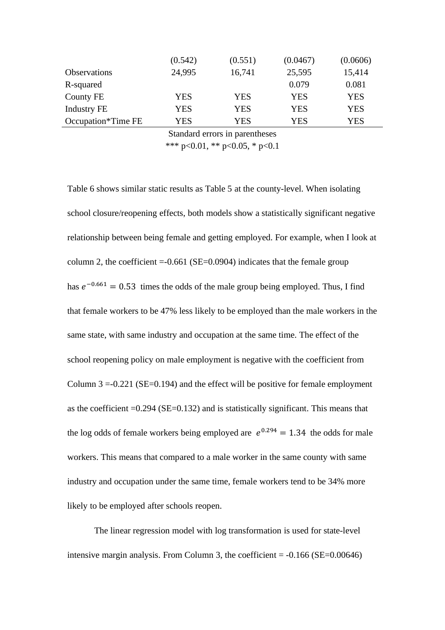|                     | (0.542) | (0.551) | (0.0467) | (0.0606) |
|---------------------|---------|---------|----------|----------|
| <b>Observations</b> | 24,995  | 16,741  | 25,595   | 15,414   |
| R-squared           |         |         | 0.079    | 0.081    |
| County FE           | YES     | YES     | YES      | YES      |
| Industry FE         | YES     | YES     | YES      | YES      |
| Occupation*Time FE  | YES     | YES     | YES      | YES      |

Standard errors in parentheses

\*\*\* p<0.01, \*\* p<0.05, \* p<0.1

Table 6 shows similar static results as Table 5 at the county-level. When isolating school closure/reopening effects, both models show a statistically significant negative relationship between being female and getting employed. For example, when I look at column 2, the coefficient  $= -0.661$  (SE $= 0.0904$ ) indicates that the female group has  $e^{-0.661} = 0.53$  times the odds of the male group being employed. Thus, I find that female workers to be 47% less likely to be employed than the male workers in the same state, with same industry and occupation at the same time. The effect of the school reopening policy on male employment is negative with the coefficient from Column  $3 = -0.221$  (SE=0.194) and the effect will be positive for female employment as the coefficient  $=0.294$  (SE $=0.132$ ) and is statistically significant. This means that the log odds of female workers being employed are  $e^{0.294} = 1.34$  the odds for male workers. This means that compared to a male worker in the same county with same industry and occupation under the same time, female workers tend to be 34% more likely to be employed after schools reopen.

The linear regression model with log transformation is used for state-level intensive margin analysis. From Column 3, the coefficient  $= -0.166$  (SE=0.00646)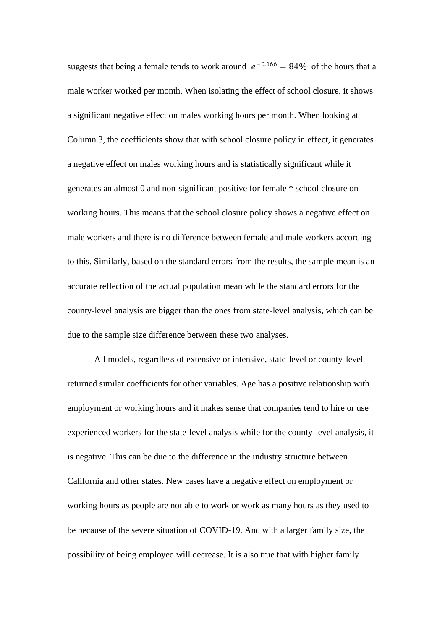suggests that being a female tends to work around  $e^{-0.166} = 84\%$  of the hours that a male worker worked per month. When isolating the effect of school closure, it shows a significant negative effect on males working hours per month. When looking at Column 3, the coefficients show that with school closure policy in effect, it generates a negative effect on males working hours and is statistically significant while it generates an almost 0 and non-significant positive for female \* school closure on working hours. This means that the school closure policy shows a negative effect on male workers and there is no difference between female and male workers according to this. Similarly, based on the standard errors from the results, the sample mean is an accurate reflection of the actual population mean while the standard errors for the county-level analysis are bigger than the ones from state-level analysis, which can be due to the sample size difference between these two analyses.

All models, regardless of extensive or intensive, state-level or county-level returned similar coefficients for other variables. Age has a positive relationship with employment or working hours and it makes sense that companies tend to hire or use experienced workers for the state-level analysis while for the county-level analysis, it is negative. This can be due to the difference in the industry structure between California and other states. New cases have a negative effect on employment or working hours as people are not able to work or work as many hours as they used to be because of the severe situation of COVID-19. And with a larger family size, the possibility of being employed will decrease. It is also true that with higher family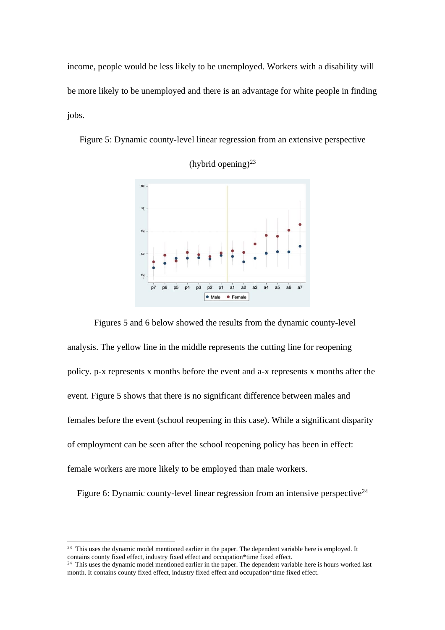income, people would be less likely to be unemployed. Workers with a disability will be more likely to be unemployed and there is an advantage for white people in finding jobs.

Figure 5: Dynamic county-level linear regression from an extensive perspective



(hybrid opening) $^{23}$ 

Figures 5 and 6 below showed the results from the dynamic county-level analysis. The yellow line in the middle represents the cutting line for reopening policy. p-x represents x months before the event and a-x represents x months after the event. Figure 5 shows that there is no significant difference between males and females before the event (school reopening in this case). While a significant disparity of employment can be seen after the school reopening policy has been in effect: female workers are more likely to be employed than male workers.

Figure 6: Dynamic county-level linear regression from an intensive perspective<sup>24</sup>

<sup>&</sup>lt;sup>23</sup> This uses the dynamic model mentioned earlier in the paper. The dependent variable here is employed. It contains county fixed effect, industry fixed effect and occupation\*time fixed effect.

<sup>&</sup>lt;sup>24</sup> This uses the dynamic model mentioned earlier in the paper. The dependent variable here is hours worked last month. It contains county fixed effect, industry fixed effect and occupation\*time fixed effect.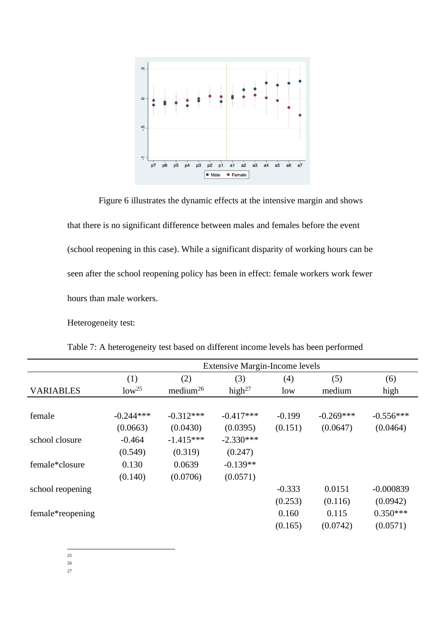

Figure 6 illustrates the dynamic effects at the intensive margin and shows that there is no significant difference between males and females before the event (school reopening in this case). While a significant disparity of working hours can be seen after the school reopening policy has been in effect: female workers work fewer hours than male workers.

Heterogeneity test:

|                  | <b>Extensive Margin-Income levels</b> |                      |             |          |             |             |  |  |  |
|------------------|---------------------------------------|----------------------|-------------|----------|-------------|-------------|--|--|--|
|                  | (1)                                   | (2)                  | (3)         | (4)      | (5)         | (6)         |  |  |  |
| <b>VARIABLES</b> | $low^{25}$                            | medium <sup>26</sup> | high $27$   | low      | medium      | high        |  |  |  |
|                  |                                       |                      |             |          |             |             |  |  |  |
| female           | $-0.244***$                           | $-0.312***$          | $-0.417***$ | $-0.199$ | $-0.269***$ | $-0.556***$ |  |  |  |
|                  | (0.0663)                              | (0.0430)             | (0.0395)    | (0.151)  | (0.0647)    | (0.0464)    |  |  |  |
| school closure   | $-0.464$                              | $-1.415***$          | $-2.330***$ |          |             |             |  |  |  |
|                  | (0.549)                               | (0.319)              | (0.247)     |          |             |             |  |  |  |
| female*closure   | 0.130                                 | 0.0639               | $-0.139**$  |          |             |             |  |  |  |
|                  | (0.140)                               | (0.0706)             | (0.0571)    |          |             |             |  |  |  |
| school reopening |                                       |                      |             | $-0.333$ | 0.0151      | $-0.000839$ |  |  |  |
|                  |                                       |                      |             | (0.253)  | (0.116)     | (0.0942)    |  |  |  |
| female*reopening |                                       |                      |             | 0.160    | 0.115       | $0.350***$  |  |  |  |
|                  |                                       |                      |             | (0.165)  | (0.0742)    | (0.0571)    |  |  |  |

Table 7: A heterogeneity test based on different income levels has been performed

25

26

27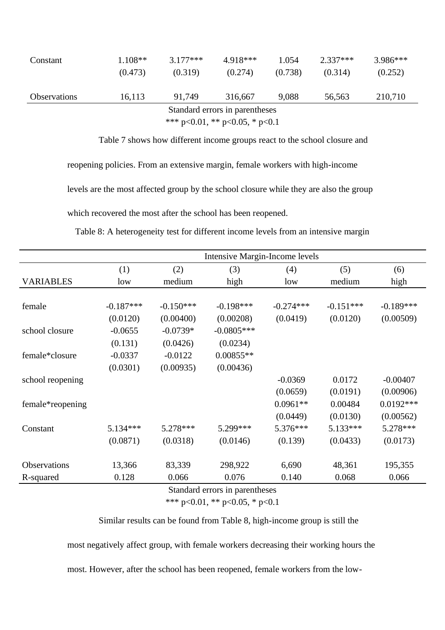| Constant                       | $1.108**$ | $3.177***$ | 4.918*** | 1.054   | $2.337***$ | $3.986***$ |  |  |
|--------------------------------|-----------|------------|----------|---------|------------|------------|--|--|
|                                | (0.473)   | (0.319)    | (0.274)  | (0.738) | (0.314)    | (0.252)    |  |  |
|                                |           |            |          |         |            |            |  |  |
| <b>Observations</b>            | 16,113    | 91.749     | 316,667  | 9,088   | 56,563     | 210,710    |  |  |
| Standard errors in parentheses |           |            |          |         |            |            |  |  |
| *** p<0.01, ** p<0.05, * p<0.1 |           |            |          |         |            |            |  |  |

Table 7 shows how different income groups react to the school closure and

reopening policies. From an extensive margin, female workers with high-income

levels are the most affected group by the school closure while they are also the group

which recovered the most after the school has been reopened.

Table 8: A heterogeneity test for different income levels from an intensive margin

|                  | Intensive Margin-Income levels |             |              |             |             |             |  |
|------------------|--------------------------------|-------------|--------------|-------------|-------------|-------------|--|
|                  | (1)                            | (2)         | (3)          | (4)         | (5)         | (6)         |  |
| <b>VARIABLES</b> | low                            | medium      | high         | low         | medium      | high        |  |
|                  |                                |             |              |             |             |             |  |
| female           | $-0.187***$                    | $-0.150***$ | $-0.198***$  | $-0.274***$ | $-0.151***$ | $-0.189***$ |  |
|                  | (0.0120)                       | (0.00400)   | (0.00208)    | (0.0419)    | (0.0120)    | (0.00509)   |  |
| school closure   | $-0.0655$                      | $-0.0739*$  | $-0.0805***$ |             |             |             |  |
|                  | (0.131)                        | (0.0426)    | (0.0234)     |             |             |             |  |
| female*closure   | $-0.0337$                      | $-0.0122$   | $0.00855**$  |             |             |             |  |
|                  | (0.0301)                       | (0.00935)   | (0.00436)    |             |             |             |  |
| school reopening |                                |             |              | $-0.0369$   | 0.0172      | $-0.00407$  |  |
|                  |                                |             |              | (0.0659)    | (0.0191)    | (0.00906)   |  |
| female*reopening |                                |             |              | $0.0961**$  | 0.00484     | $0.0192***$ |  |
|                  |                                |             |              | (0.0449)    | (0.0130)    | (0.00562)   |  |
| Constant         | 5.134***                       | $5.278***$  | 5.299***     | $5.376***$  | $5.133***$  | 5.278***    |  |
|                  | (0.0871)                       | (0.0318)    | (0.0146)     | (0.139)     | (0.0433)    | (0.0173)    |  |
|                  |                                |             |              |             |             |             |  |
| Observations     | 13,366                         | 83,339      | 298,922      | 6,690       | 48,361      | 195,355     |  |
| R-squared        | 0.128                          | 0.066       | 0.076        | 0.140       | 0.068       | 0.066       |  |

Standard errors in parentheses

\*\*\* p<0.01, \*\* p<0.05, \* p<0.1

Similar results can be found from Table 8, high-income group is still the

most negatively affect group, with female workers decreasing their working hours the

most. However, after the school has been reopened, female workers from the low-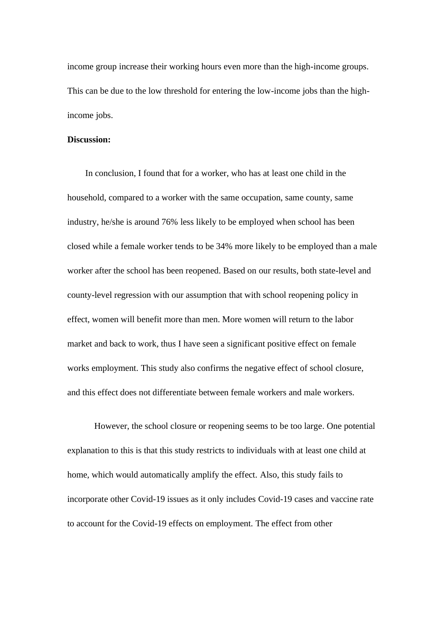income group increase their working hours even more than the high-income groups. This can be due to the low threshold for entering the low-income jobs than the highincome jobs.

#### **Discussion:**

In conclusion, I found that for a worker, who has at least one child in the household, compared to a worker with the same occupation, same county, same industry, he/she is around 76% less likely to be employed when school has been closed while a female worker tends to be 34% more likely to be employed than a male worker after the school has been reopened. Based on our results, both state-level and county-level regression with our assumption that with school reopening policy in effect, women will benefit more than men. More women will return to the labor market and back to work, thus I have seen a significant positive effect on female works employment. This study also confirms the negative effect of school closure, and this effect does not differentiate between female workers and male workers.

However, the school closure or reopening seems to be too large. One potential explanation to this is that this study restricts to individuals with at least one child at home, which would automatically amplify the effect. Also, this study fails to incorporate other Covid-19 issues as it only includes Covid-19 cases and vaccine rate to account for the Covid-19 effects on employment. The effect from other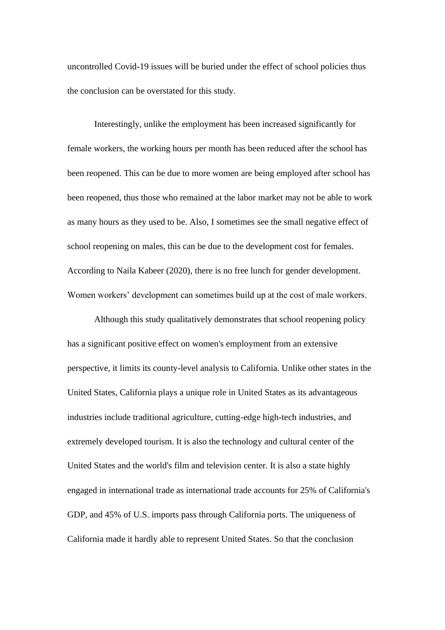uncontrolled Covid-19 issues will be buried under the effect of school policies thus the conclusion can be overstated for this study.

Interestingly, unlike the employment has been increased significantly for female workers, the working hours per month has been reduced after the school has been reopened. This can be due to more women are being employed after school has been reopened, thus those who remained at the labor market may not be able to work as many hours as they used to be. Also, I sometimes see the small negative effect of school reopening on males, this can be due to the development cost for females. According to Naila Kabeer (2020), there is no free lunch for gender development. Women workers' development can sometimes build up at the cost of male workers.

Although this study qualitatively demonstrates that school reopening policy has a significant positive effect on women's employment from an extensive perspective, it limits its county-level analysis to California. Unlike other states in the United States, California plays a unique role in United States as its advantageous industries include traditional agriculture, cutting-edge high-tech industries, and extremely developed tourism. It is also the technology and cultural center of the United States and the world's film and television center. It is also a state highly engaged in international trade as international trade accounts for 25% of California's GDP, and 45% of U.S. imports pass through California ports. The uniqueness of California made it hardly able to represent United States. So that the conclusion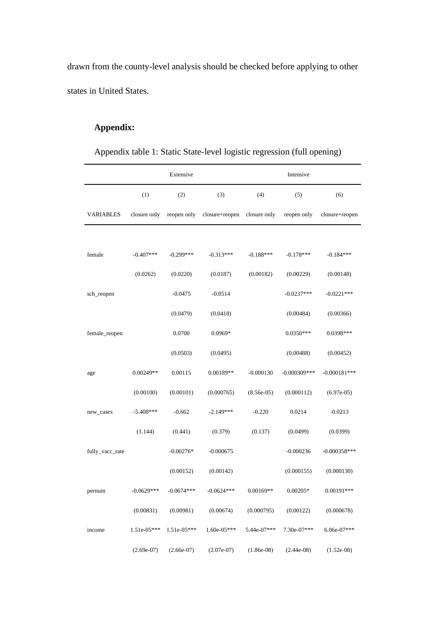drawn from the county-level analysis should be checked before applying to other states in United States.

### **Appendix:**

| Appendix table 1: Static State-level logistic regression (full opening) |
|-------------------------------------------------------------------------|
|-------------------------------------------------------------------------|

|                  |               | Extensive     |                             |              | Intensive      |                |  |  |
|------------------|---------------|---------------|-----------------------------|--------------|----------------|----------------|--|--|
|                  | (1)           | (2)           | (3)                         | (4)          | (5)            | (6)            |  |  |
| <b>VARIABLES</b> | closure only  | reopen only   | closure+reopen closure only |              | reopen only    | closure+reopen |  |  |
|                  |               |               |                             |              |                |                |  |  |
| female           | $-0.407***$   | $-0.299***$   | $-0.313***$                 | $-0.188***$  | $-0.178***$    | $-0.184***$    |  |  |
|                  | (0.0262)      | (0.0220)      | (0.0187)                    | (0.00182)    | (0.00229)      | (0.00148)      |  |  |
| sch_reopen       |               | $-0.0475$     | $-0.0514$                   |              | $-0.0237***$   | $-0.0221***$   |  |  |
|                  |               | (0.0479)      | (0.0418)                    |              | (0.00484)      | (0.00366)      |  |  |
| female_reopen    |               | 0.0700        | $0.0969*$                   |              | $0.0350***$    | $0.0398***$    |  |  |
|                  |               | (0.0503)      | (0.0495)                    |              | (0.00488)      | (0.00452)      |  |  |
| age              | $0.00249**$   | 0.00115       | 0.00189**                   | $-0.000130$  | $-0.000309***$ | $-0.000181***$ |  |  |
|                  | (0.00100)     | (0.00101)     | (0.000765)                  | $(8.56e-05)$ | (0.000112)     | $(6.97e-05)$   |  |  |
| new_cases        | $-5.408***$   | $-0.662$      | $-2.149***$                 | $-0.220$     | 0.0214         | $-0.0213$      |  |  |
|                  | (1.144)       | (0.441)       | (0.379)                     | (0.137)      | (0.0499)       | (0.0399)       |  |  |
| fully_vacc_rate  |               | $-0.00276*$   | $-0.000675$                 |              | $-0.000236$    | $-0.000358***$ |  |  |
|                  |               | (0.00152)     | (0.00142)                   |              | (0.000155)     | (0.000130)     |  |  |
| pernum           | $-0.0629***$  | $-0.0674***$  | $-0.0624***$                | $0.00169**$  | $0.00205*$     | $0.00191***$   |  |  |
|                  | (0.00831)     | (0.00981)     | (0.00674)                   | (0.000795)   | (0.00122)      | (0.000678)     |  |  |
| income           | $1.51e-05***$ | $1.51e-05***$ | $1.60e-05***$               | 5.44e-07***  | $7.30e-07***$  | $6.06e-07***$  |  |  |
|                  | $(2.69e-07)$  | $(2.66e-07)$  | $(2.07e-07)$                | $(1.86e-08)$ | $(2.44e-08)$   | $(1.52e-08)$   |  |  |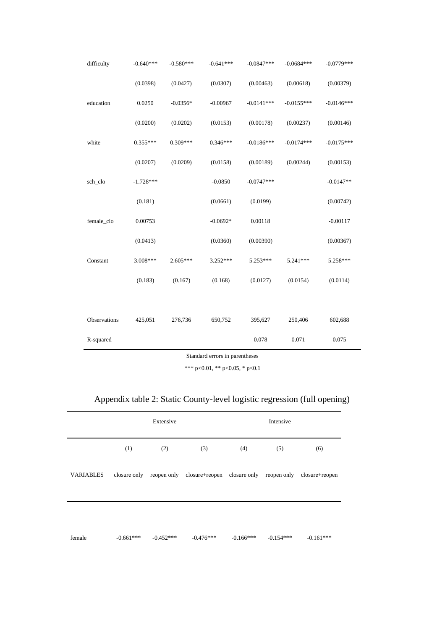| difficulty   | $-0.640***$ | $-0.580***$ | $-0.641***$ | $-0.0847***$ | $-0.0684***$ | $-0.0779***$ |
|--------------|-------------|-------------|-------------|--------------|--------------|--------------|
|              | (0.0398)    | (0.0427)    | (0.0307)    | (0.00463)    | (0.00618)    | (0.00379)    |
| education    | 0.0250      | $-0.0356*$  | $-0.00967$  | $-0.0141***$ | $-0.0155***$ | $-0.0146***$ |
|              | (0.0200)    | (0.0202)    | (0.0153)    | (0.00178)    | (0.00237)    | (0.00146)    |
| white        | $0.355***$  | $0.309***$  | $0.346***$  | $-0.0186***$ | $-0.0174***$ | $-0.0175***$ |
|              | (0.0207)    | (0.0209)    | (0.0158)    | (0.00189)    | (0.00244)    | (0.00153)    |
| sch_clo      | $-1.728***$ |             | $-0.0850$   | $-0.0747***$ |              | $-0.0147**$  |
|              | (0.181)     |             | (0.0661)    | (0.0199)     |              | (0.00742)    |
| female_clo   | 0.00753     |             | $-0.0692*$  | 0.00118      |              | $-0.00117$   |
|              | (0.0413)    |             | (0.0360)    | (0.00390)    |              | (0.00367)    |
| Constant     | 3.008***    | $2.605***$  | 3.252***    | 5.253***     | 5.241***     | 5.258***     |
|              | (0.183)     | (0.167)     | (0.168)     | (0.0127)     | (0.0154)     | (0.0114)     |
|              |             |             |             |              |              |              |
| Observations | 425,051     | 276,736     | 650,752     | 395,627      | 250,406      | 602,688      |
| R-squared    |             |             |             | 0.078        | 0.071        | 0.075        |
|              |             |             |             |              |              |              |

Standard errors in parentheses

\*\*\* p<0.01, \*\* p<0.05, \* p<0.1

| Appendix table 2: Static County-level logistic regression (full opening) |  |  |
|--------------------------------------------------------------------------|--|--|
|                                                                          |  |  |

|           | Extensive   |             |                                                                                 | Intensive   |             |             |  |
|-----------|-------------|-------------|---------------------------------------------------------------------------------|-------------|-------------|-------------|--|
|           | (1)         | (2)         | (3)                                                                             | (4)         | (5)         | (6)         |  |
| VARIABLES |             |             | closure only reopen only closure-reopen closure only reopen only closure-reopen |             |             |             |  |
|           |             |             |                                                                                 |             |             |             |  |
| female    | $-0.661***$ | $-0.452***$ | $-0.476***$                                                                     | $-0.166***$ | $-0.154***$ | $-0.161***$ |  |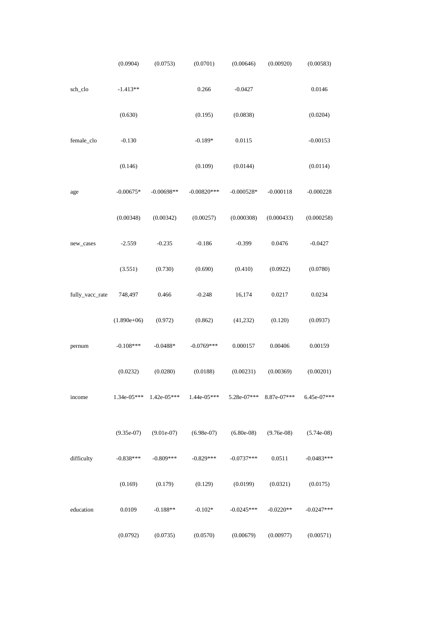|                 | (0.0904)      | (0.0753)     | (0.0701)      | (0.00646)     | (0.00920)    | (0.00583)    |  |
|-----------------|---------------|--------------|---------------|---------------|--------------|--------------|--|
| sch_clo         | $-1.413**$    |              | 0.266         | $-0.0427$     |              | 0.0146       |  |
|                 | (0.630)       |              | (0.195)       | (0.0838)      |              | (0.0204)     |  |
| female_clo      | $-0.130$      |              | $-0.189*$     | 0.0115        |              | $-0.00153$   |  |
|                 | (0.146)       |              | (0.109)       | (0.0144)      |              | (0.0114)     |  |
| age             | $-0.00675*$   | $-0.00698**$ | $-0.00820***$ | $-0.000528*$  | $-0.000118$  | $-0.000228$  |  |
|                 | (0.00348)     | (0.00342)    | (0.00257)     | (0.000308)    | (0.000433)   | (0.000258)   |  |
| new_cases       | $-2.559$      | $-0.235$     | $-0.186$      | $-0.399$      | 0.0476       | $-0.0427$    |  |
|                 | (3.551)       | (0.730)      | (0.690)       | (0.410)       | (0.0922)     | (0.0780)     |  |
| fully_vacc_rate | 748,497       | 0.466        | $-0.248$      | 16,174        | 0.0217       | 0.0234       |  |
|                 | $(1.890e+06)$ | (0.972)      | (0.862)       | (41, 232)     | (0.120)      | (0.0937)     |  |
| pernum          | $-0.108***$   | $-0.0488*$   | $-0.0769***$  | 0.000157      | 0.00406      | 0.00159      |  |
|                 | (0.0232)      | (0.0280)     | (0.0188)      | (0.00231)     | (0.00369)    | (0.00201)    |  |
| income          | 1.34e-05***   | 1.42e-05***  | 1.44e-05***   | 5.28e-07***   | 8.87e-07***  | 6.45e-07***  |  |
|                 | $(9.35e-07)$  | $(9.01e-07)$ | $(6.98e-07)$  | $(6.80e-0.8)$ | $(9.76e-08)$ | $(5.74e-08)$ |  |
| difficulty      | $-0.838***$   | $-0.809***$  | $-0.829***$   | $-0.0737***$  | 0.0511       | $-0.0483***$ |  |
|                 | (0.169)       | (0.179)      | (0.129)       | (0.0199)      | (0.0321)     | (0.0175)     |  |
| education       | 0.0109        | $-0.188**$   | $-0.102*$     | $-0.0245***$  | $-0.0220**$  | $-0.0247***$ |  |
|                 | (0.0792)      | (0.0735)     | (0.0570)      | (0.00679)     | (0.00977)    | (0.00571)    |  |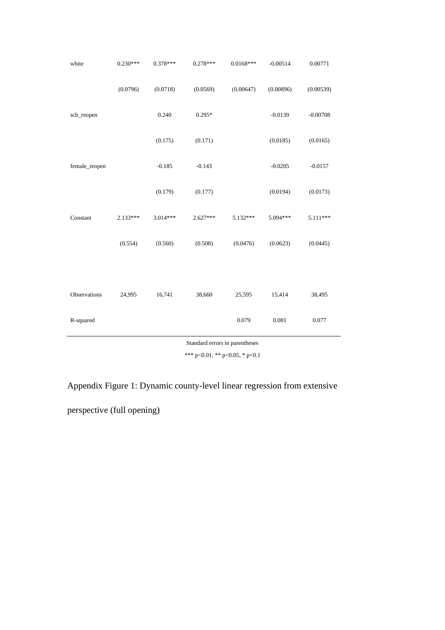| white         | $0.230***$ | $0.378***$ | $0.278***$ | $0.0168***$ | $-0.00514$ | 0.00771    |
|---------------|------------|------------|------------|-------------|------------|------------|
|               | (0.0796)   | (0.0718)   | (0.0569)   | (0.00647)   | (0.00896)  | (0.00539)  |
| sch_reopen    |            | 0.240      | $0.295*$   |             | $-0.0139$  | $-0.00708$ |
|               |            | (0.175)    | (0.171)    |             | (0.0185)   | (0.0165)   |
| female_reopen |            | $-0.185$   | $-0.143$   |             | $-0.0205$  | $-0.0157$  |
|               |            | (0.179)    | (0.177)    |             | (0.0194)   | (0.0173)   |
| Constant      | $2.133***$ | 3.014***   | $2.627***$ | 5.132***    | 5.094***   | 5.111***   |
|               | (0.554)    | (0.560)    | (0.508)    | (0.0476)    | (0.0623)   | (0.0445)   |
|               |            |            |            |             |            |            |
| Observations  | 24,995     | 16,741     | 38,660     | 25,595      | 15,414     | 38,495     |
| R-squared     |            |            |            | 0.079       | 0.081      | 0.077      |

Standard errors in parentheses

 $\overline{\phantom{a}}$ 

\*\*\* p<0.01, \*\* p<0.05, \* p<0.1

Appendix Figure 1: Dynamic county-level linear regression from extensive

perspective (full opening)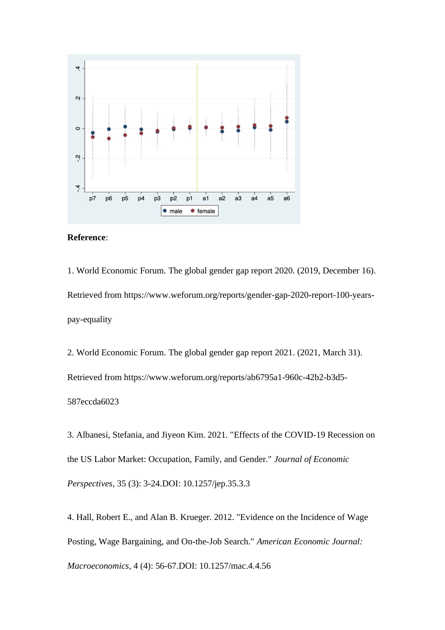



1. World Economic Forum. The global gender gap report 2020. (2019, December 16). Retrieved from [https://www.weforum.org/reports/gender-gap-2020-report-100-years](https://www.weforum.org/reports/gender-gap-2020-report-100-years-pay-equality)[pay-equality](https://www.weforum.org/reports/gender-gap-2020-report-100-years-pay-equality)

2. World Economic Forum. The global gender gap report 2021. (2021, March 31). Retrieved from [h](http://www3.weforum.org/docs/WEF_GGGR_2020.pdf)ttps://www.weforum.org/reports/ab6795a1-960c-42b2-b3d5- 587eccda6023

3. Albanesi, Stefania, and Jiyeon Kim. 2021. "Effects of the COVID-19 Recession on the US Labor Market: Occupation, Family, and Gender." *Journal of Economic Perspectives*, 35 (3): 3-24.DOI: 10.1257/jep.35.3.3

4. Hall, Robert E., and Alan B. Krueger. 2012. "Evidence on the Incidence of Wage Posting, Wage Bargaining, and On-the-Job Search." *American Economic Journal: Macroeconomics*, 4 (4): 56-67.DOI: 10.1257/mac.4.4.56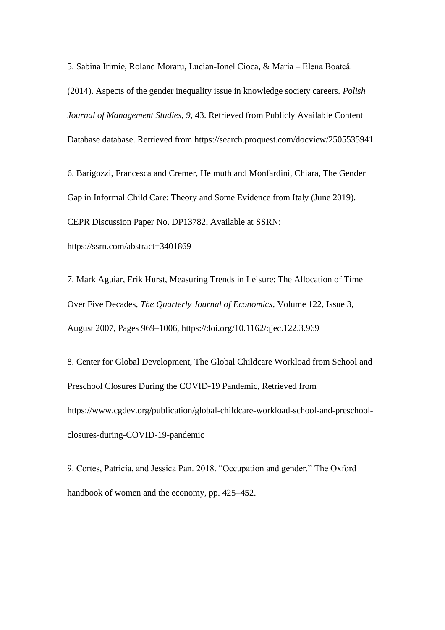5. Sabina Irimie, Roland Moraru, Lucian-Ionel Cioca, & Maria – Elena Boatcǎ. (2014). Aspects of the gender inequality issue in knowledge society careers. *Polish Journal of Management Studies, 9*, 43. Retrieved from Publicly Available Content Database database. Retrieved from <https://search.proquest.com/docview/2505535941>

6. Barigozzi, Francesca and Cremer, Helmuth and Monfardini, Chiara, The Gender Gap in Informal Child Care: Theory and Some Evidence from Italy (June 2019). CEPR Discussion Paper No. DP13782, Available at SSRN: <https://ssrn.com/abstract=3401869>

7. Mark Aguiar, Erik Hurst, Measuring Trends in Leisure: The Allocation of Time Over Five Decades, *The Quarterly Journal of Economics*, Volume 122, Issue 3, August 2007, Pages 969–1006,<https://doi.org/10.1162/qjec.122.3.969>

8. Center for Global Development, The Global Childcare Workload from School and Preschool Closures During the COVID-19 Pandemic, Retrieved from https://www.cgdev.org/publication/global-childcare-workload-school-and-preschoolclosures-during-COVID-19-pandemic

9. Cortes, Patricia, and Jessica Pan. 2018. "Occupation and gender." The Oxford handbook of women and the economy, pp. 425–452.